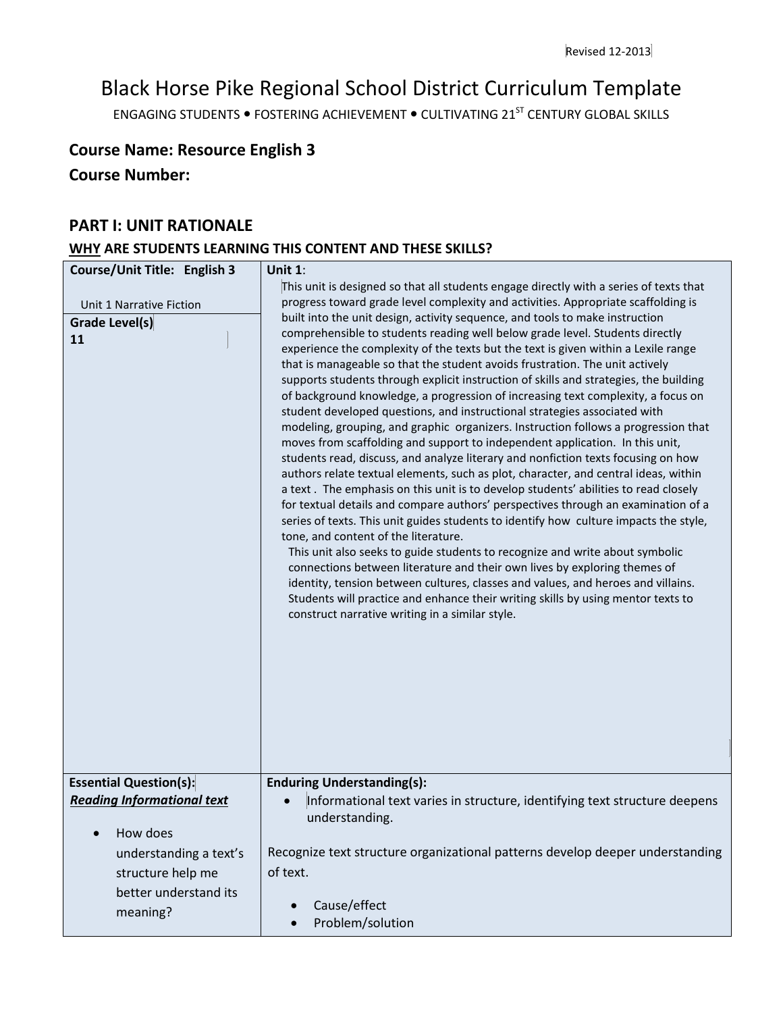# Black Horse Pike Regional School District Curriculum Template

ENGAGING STUDENTS . FOSTERING ACHIEVEMENT . CULTIVATING 21<sup>ST</sup> CENTURY GLOBAL SKILLS

# **Course Name: Resource English 3**

**Course Number:**

### **PART I: UNIT RATIONALE**

# **WHY ARE STUDENTS LEARNING THIS CONTENT AND THESE SKILLS?**

| Course/Unit Title: English 3<br>Unit 1 Narrative Fiction | Unit $1$ :<br>This unit is designed so that all students engage directly with a series of texts that<br>progress toward grade level complexity and activities. Appropriate scaffolding is                                                                                                                                                                                                                                                                                                                                                                                                                                                                                                                                                                                                                                                                                                                                                                                                                                                                                                                                                                                                                                                                                                                                                                                                                                                                                                                                                                                                                                                           |
|----------------------------------------------------------|-----------------------------------------------------------------------------------------------------------------------------------------------------------------------------------------------------------------------------------------------------------------------------------------------------------------------------------------------------------------------------------------------------------------------------------------------------------------------------------------------------------------------------------------------------------------------------------------------------------------------------------------------------------------------------------------------------------------------------------------------------------------------------------------------------------------------------------------------------------------------------------------------------------------------------------------------------------------------------------------------------------------------------------------------------------------------------------------------------------------------------------------------------------------------------------------------------------------------------------------------------------------------------------------------------------------------------------------------------------------------------------------------------------------------------------------------------------------------------------------------------------------------------------------------------------------------------------------------------------------------------------------------------|
| <b>Grade Level(s)</b><br>11                              | built into the unit design, activity sequence, and tools to make instruction<br>comprehensible to students reading well below grade level. Students directly<br>experience the complexity of the texts but the text is given within a Lexile range<br>that is manageable so that the student avoids frustration. The unit actively<br>supports students through explicit instruction of skills and strategies, the building<br>of background knowledge, a progression of increasing text complexity, a focus on<br>student developed questions, and instructional strategies associated with<br>modeling, grouping, and graphic organizers. Instruction follows a progression that<br>moves from scaffolding and support to independent application. In this unit,<br>students read, discuss, and analyze literary and nonfiction texts focusing on how<br>authors relate textual elements, such as plot, character, and central ideas, within<br>a text. The emphasis on this unit is to develop students' abilities to read closely<br>for textual details and compare authors' perspectives through an examination of a<br>series of texts. This unit guides students to identify how culture impacts the style,<br>tone, and content of the literature.<br>This unit also seeks to guide students to recognize and write about symbolic<br>connections between literature and their own lives by exploring themes of<br>identity, tension between cultures, classes and values, and heroes and villains.<br>Students will practice and enhance their writing skills by using mentor texts to<br>construct narrative writing in a similar style. |
| <b>Essential Question(s):</b>                            | <b>Enduring Understanding(s):</b>                                                                                                                                                                                                                                                                                                                                                                                                                                                                                                                                                                                                                                                                                                                                                                                                                                                                                                                                                                                                                                                                                                                                                                                                                                                                                                                                                                                                                                                                                                                                                                                                                   |
| <b>Reading Informational text</b>                        | Informational text varies in structure, identifying text structure deepens<br>$\bullet$<br>understanding.                                                                                                                                                                                                                                                                                                                                                                                                                                                                                                                                                                                                                                                                                                                                                                                                                                                                                                                                                                                                                                                                                                                                                                                                                                                                                                                                                                                                                                                                                                                                           |
| How does                                                 |                                                                                                                                                                                                                                                                                                                                                                                                                                                                                                                                                                                                                                                                                                                                                                                                                                                                                                                                                                                                                                                                                                                                                                                                                                                                                                                                                                                                                                                                                                                                                                                                                                                     |
| understanding a text's                                   | Recognize text structure organizational patterns develop deeper understanding                                                                                                                                                                                                                                                                                                                                                                                                                                                                                                                                                                                                                                                                                                                                                                                                                                                                                                                                                                                                                                                                                                                                                                                                                                                                                                                                                                                                                                                                                                                                                                       |
| structure help me                                        | of text.                                                                                                                                                                                                                                                                                                                                                                                                                                                                                                                                                                                                                                                                                                                                                                                                                                                                                                                                                                                                                                                                                                                                                                                                                                                                                                                                                                                                                                                                                                                                                                                                                                            |
| better understand its                                    |                                                                                                                                                                                                                                                                                                                                                                                                                                                                                                                                                                                                                                                                                                                                                                                                                                                                                                                                                                                                                                                                                                                                                                                                                                                                                                                                                                                                                                                                                                                                                                                                                                                     |
| meaning?                                                 | Cause/effect<br>Problem/solution                                                                                                                                                                                                                                                                                                                                                                                                                                                                                                                                                                                                                                                                                                                                                                                                                                                                                                                                                                                                                                                                                                                                                                                                                                                                                                                                                                                                                                                                                                                                                                                                                    |
|                                                          |                                                                                                                                                                                                                                                                                                                                                                                                                                                                                                                                                                                                                                                                                                                                                                                                                                                                                                                                                                                                                                                                                                                                                                                                                                                                                                                                                                                                                                                                                                                                                                                                                                                     |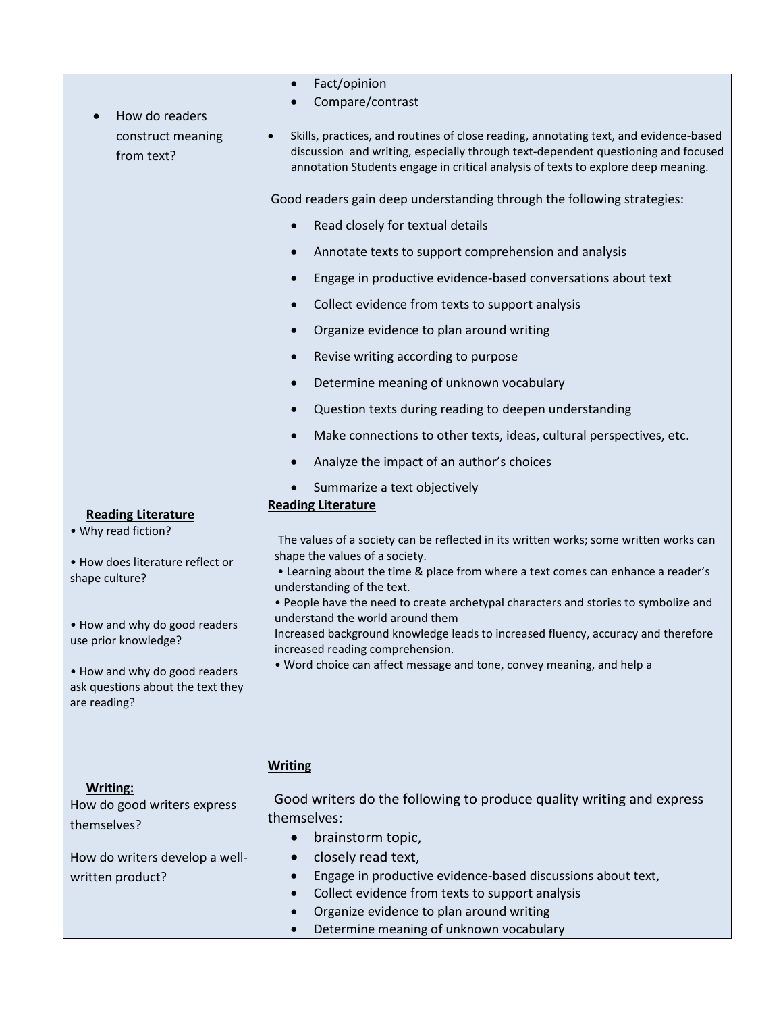| How do readers<br>construct meaning<br>from text?                                                                                                                                                                                                     | Compare/contrast<br>Skills, practices, and routines of close reading, annotating text, and evidence-based<br>$\bullet$<br>discussion and writing, especially through text-dependent questioning and focused<br>annotation Students engage in critical analysis of texts to explore deep meaning.<br>Good readers gain deep understanding through the following strategies:<br>Read closely for textual details<br>$\bullet$<br>Annotate texts to support comprehension and analysis<br>$\bullet$<br>Engage in productive evidence-based conversations about text<br>Collect evidence from texts to support analysis<br>$\bullet$<br>Organize evidence to plan around writing<br>Revise writing according to purpose<br>$\bullet$<br>Determine meaning of unknown vocabulary<br>$\bullet$<br>Question texts during reading to deepen understanding<br>$\bullet$<br>Make connections to other texts, ideas, cultural perspectives, etc.<br>$\bullet$<br>Analyze the impact of an author's choices<br>Summarize a text objectively<br><b>Reading Literature</b> |  |  |
|-------------------------------------------------------------------------------------------------------------------------------------------------------------------------------------------------------------------------------------------------------|--------------------------------------------------------------------------------------------------------------------------------------------------------------------------------------------------------------------------------------------------------------------------------------------------------------------------------------------------------------------------------------------------------------------------------------------------------------------------------------------------------------------------------------------------------------------------------------------------------------------------------------------------------------------------------------------------------------------------------------------------------------------------------------------------------------------------------------------------------------------------------------------------------------------------------------------------------------------------------------------------------------------------------------------------------------|--|--|
| <b>Reading Literature</b><br>• Why read fiction?<br>• How does literature reflect or<br>shape culture?<br>• How and why do good readers<br>use prior knowledge?<br>. How and why do good readers<br>ask questions about the text they<br>are reading? | The values of a society can be reflected in its written works; some written works can<br>shape the values of a society.<br>. Learning about the time & place from where a text comes can enhance a reader's<br>understanding of the text.<br>. People have the need to create archetypal characters and stories to symbolize and<br>understand the world around them<br>Increased background knowledge leads to increased fluency, accuracy and therefore<br>increased reading comprehension.<br>. Word choice can affect message and tone, convey meaning, and help a                                                                                                                                                                                                                                                                                                                                                                                                                                                                                       |  |  |
| <b>Writing:</b><br>How do good writers express<br>themselves?<br>How do writers develop a well-<br>written product?                                                                                                                                   | <b>Writing</b><br>Good writers do the following to produce quality writing and express<br>themselves:<br>brainstorm topic,<br>$\bullet$<br>closely read text,<br>$\bullet$<br>Engage in productive evidence-based discussions about text,<br>Collect evidence from texts to support analysis<br>Organize evidence to plan around writing                                                                                                                                                                                                                                                                                                                                                                                                                                                                                                                                                                                                                                                                                                                     |  |  |

• Fact/opinion

• Determine meaning of unknown vocabulary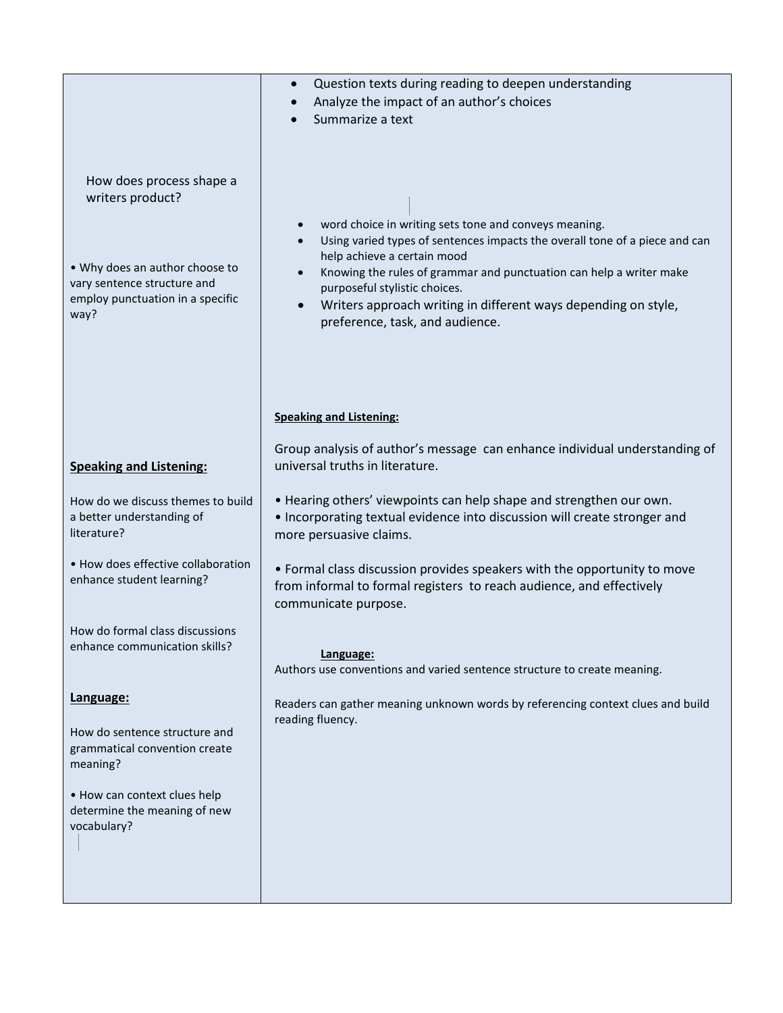|                                                                               | Question texts during reading to deepen understanding                                                                                                                       |
|-------------------------------------------------------------------------------|-----------------------------------------------------------------------------------------------------------------------------------------------------------------------------|
|                                                                               | Analyze the impact of an author's choices<br>Summarize a text                                                                                                               |
|                                                                               |                                                                                                                                                                             |
| How does process shape a<br>writers product?                                  | word choice in writing sets tone and conveys meaning.                                                                                                                       |
|                                                                               | Using varied types of sentences impacts the overall tone of a piece and can<br>help achieve a certain mood                                                                  |
| . Why does an author choose to<br>vary sentence structure and                 | Knowing the rules of grammar and punctuation can help a writer make<br>purposeful stylistic choices.                                                                        |
| employ punctuation in a specific<br>way?                                      | Writers approach writing in different ways depending on style,<br>$\bullet$<br>preference, task, and audience.                                                              |
|                                                                               |                                                                                                                                                                             |
|                                                                               |                                                                                                                                                                             |
|                                                                               | <b>Speaking and Listening:</b>                                                                                                                                              |
|                                                                               | Group analysis of author's message can enhance individual understanding of                                                                                                  |
| <b>Speaking and Listening:</b>                                                | universal truths in literature.                                                                                                                                             |
| How do we discuss themes to build<br>a better understanding of<br>literature? | . Hearing others' viewpoints can help shape and strengthen our own.<br>. Incorporating textual evidence into discussion will create stronger and<br>more persuasive claims. |
| • How does effective collaboration<br>enhance student learning?               | • Formal class discussion provides speakers with the opportunity to move<br>from informal to formal registers to reach audience, and effectively<br>communicate purpose.    |
| How do formal class discussions<br>enhance communication skills?              | Language:<br>Authors use conventions and varied sentence structure to create meaning.                                                                                       |
| Language:                                                                     | Readers can gather meaning unknown words by referencing context clues and build                                                                                             |
| How do sentence structure and<br>grammatical convention create<br>meaning?    | reading fluency.                                                                                                                                                            |
| • How can context clues help<br>determine the meaning of new<br>vocabulary?   |                                                                                                                                                                             |
|                                                                               |                                                                                                                                                                             |
|                                                                               |                                                                                                                                                                             |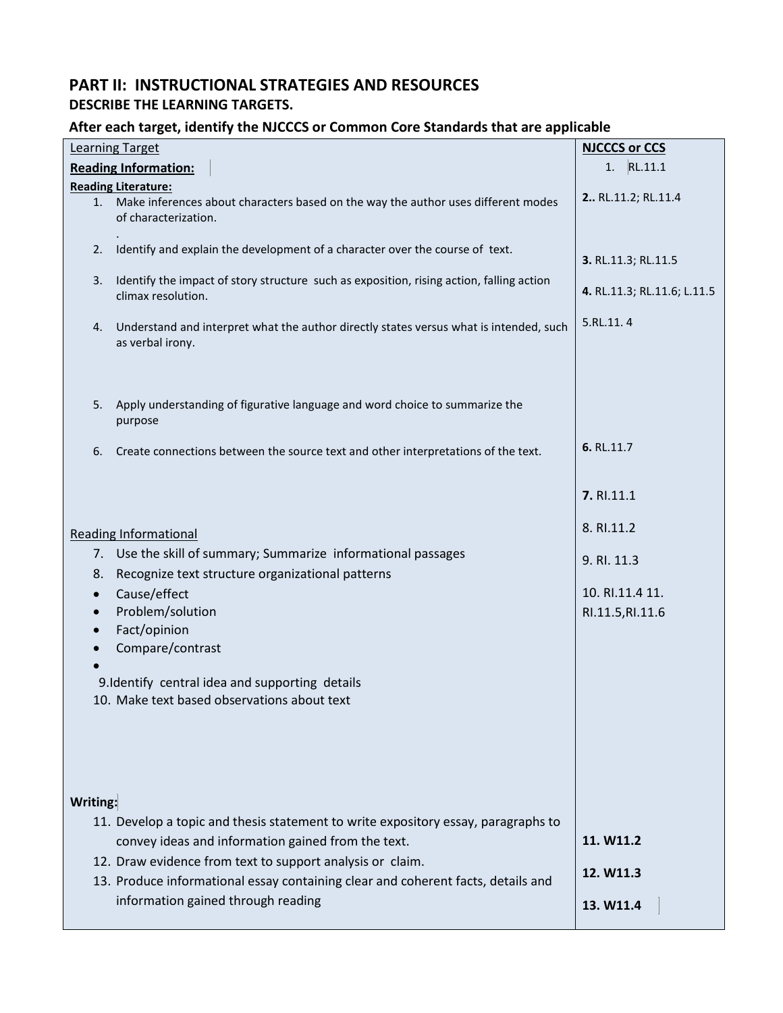# **PART II: INSTRUCTIONAL STRATEGIES AND RESOURCES DESCRIBE THE LEARNING TARGETS.**

### **After each target, identify the NJCCCS or Common Core Standards that are applicable**

| <b>NJCCCS or CCS</b><br><b>Learning Target</b> |                                                                                                                                               |                             |  |
|------------------------------------------------|-----------------------------------------------------------------------------------------------------------------------------------------------|-----------------------------|--|
| <b>Reading Information:</b>                    | 1. RL.11.1                                                                                                                                    |                             |  |
| <b>Reading Literature:</b>                     |                                                                                                                                               |                             |  |
| 1.                                             | Make inferences about characters based on the way the author uses different modes<br>of characterization.                                     | 2 RL.11.2; RL.11.4          |  |
| 2.                                             | Identify and explain the development of a character over the course of text.                                                                  | 3. RL.11.3; RL.11.5         |  |
| 3.                                             | Identify the impact of story structure such as exposition, rising action, falling action<br>climax resolution.                                | 4. RL.11.3; RL.11.6; L.11.5 |  |
| 4.                                             | Understand and interpret what the author directly states versus what is intended, such<br>as verbal irony.                                    | 5.RL.11.4                   |  |
| 5.                                             | Apply understanding of figurative language and word choice to summarize the<br>purpose                                                        |                             |  |
| 6.                                             | Create connections between the source text and other interpretations of the text.                                                             | 6. RL.11.7                  |  |
|                                                |                                                                                                                                               | 7. RI.11.1                  |  |
|                                                | <b>Reading Informational</b>                                                                                                                  | 8. RI.11.2                  |  |
|                                                | 7. Use the skill of summary; Summarize informational passages                                                                                 | 9. RI. 11.3                 |  |
| 8.                                             | Recognize text structure organizational patterns                                                                                              | 10. RI.11.4 11.             |  |
| $\bullet$<br>$\bullet$                         | Cause/effect<br>Problem/solution                                                                                                              | RI.11.5, RI.11.6            |  |
| $\bullet$                                      | Fact/opinion                                                                                                                                  |                             |  |
| $\bullet$                                      | Compare/contrast                                                                                                                              |                             |  |
|                                                |                                                                                                                                               |                             |  |
|                                                | 9.Identify central idea and supporting details<br>10. Make text based observations about text                                                 |                             |  |
|                                                |                                                                                                                                               |                             |  |
| Writing:                                       |                                                                                                                                               |                             |  |
|                                                | 11. Develop a topic and thesis statement to write expository essay, paragraphs to<br>convey ideas and information gained from the text.       | 11. W11.2                   |  |
|                                                | 12. Draw evidence from text to support analysis or claim.<br>13. Produce informational essay containing clear and coherent facts, details and | 12. W11.3                   |  |
|                                                | information gained through reading                                                                                                            | 13. W11.4                   |  |
|                                                |                                                                                                                                               |                             |  |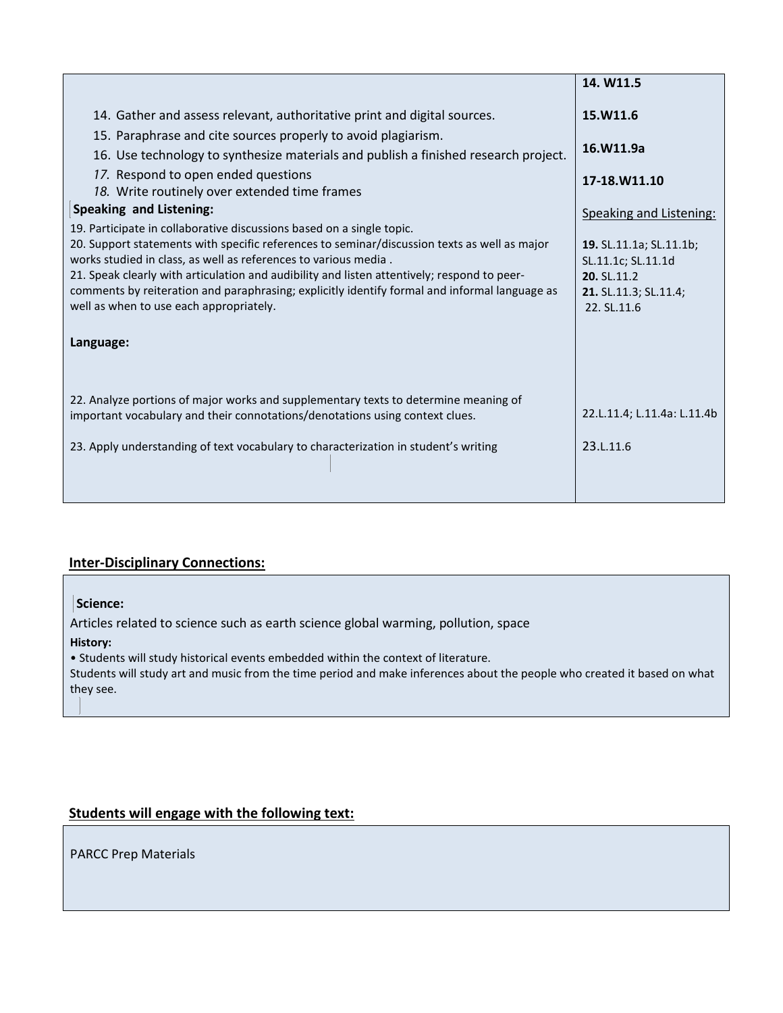|                                                                                                                                                                                                                                                                                                                                                                                                                                                                                     | 14. W11.5                                                                                            |
|-------------------------------------------------------------------------------------------------------------------------------------------------------------------------------------------------------------------------------------------------------------------------------------------------------------------------------------------------------------------------------------------------------------------------------------------------------------------------------------|------------------------------------------------------------------------------------------------------|
| 14. Gather and assess relevant, authoritative print and digital sources.                                                                                                                                                                                                                                                                                                                                                                                                            | 15.W11.6                                                                                             |
| 15. Paraphrase and cite sources properly to avoid plagiarism.<br>16. Use technology to synthesize materials and publish a finished research project.                                                                                                                                                                                                                                                                                                                                | 16.W11.9a                                                                                            |
| 17. Respond to open ended questions<br>18. Write routinely over extended time frames                                                                                                                                                                                                                                                                                                                                                                                                | 17-18.W11.10                                                                                         |
| <b>Speaking and Listening:</b>                                                                                                                                                                                                                                                                                                                                                                                                                                                      | Speaking and Listening:                                                                              |
| 19. Participate in collaborative discussions based on a single topic.<br>20. Support statements with specific references to seminar/discussion texts as well as major<br>works studied in class, as well as references to various media.<br>21. Speak clearly with articulation and audibility and listen attentively; respond to peer-<br>comments by reiteration and paraphrasing; explicitly identify formal and informal language as<br>well as when to use each appropriately. | 19. SL.11.1a; SL.11.1b;<br>SL.11.1c; SL.11.1d<br>20. SL.11.2<br>21. SL.11.3; SL.11.4;<br>22. SL.11.6 |
| Language:                                                                                                                                                                                                                                                                                                                                                                                                                                                                           |                                                                                                      |
|                                                                                                                                                                                                                                                                                                                                                                                                                                                                                     |                                                                                                      |
| 22. Analyze portions of major works and supplementary texts to determine meaning of<br>important vocabulary and their connotations/denotations using context clues.                                                                                                                                                                                                                                                                                                                 | 22.L.11.4; L.11.4a: L.11.4b                                                                          |
| 23. Apply understanding of text vocabulary to characterization in student's writing                                                                                                                                                                                                                                                                                                                                                                                                 | 23.L.11.6                                                                                            |
|                                                                                                                                                                                                                                                                                                                                                                                                                                                                                     |                                                                                                      |

# **Inter-Disciplinary Connections:**

### **Science:**

Articles related to science such as earth science global warming, pollution, space

### **History:**

• Students will study historical events embedded within the context of literature.

Students will study art and music from the time period and make inferences about the people who created it based on what they see.

# **Students will engage with the following text:**

PARCC Prep Materials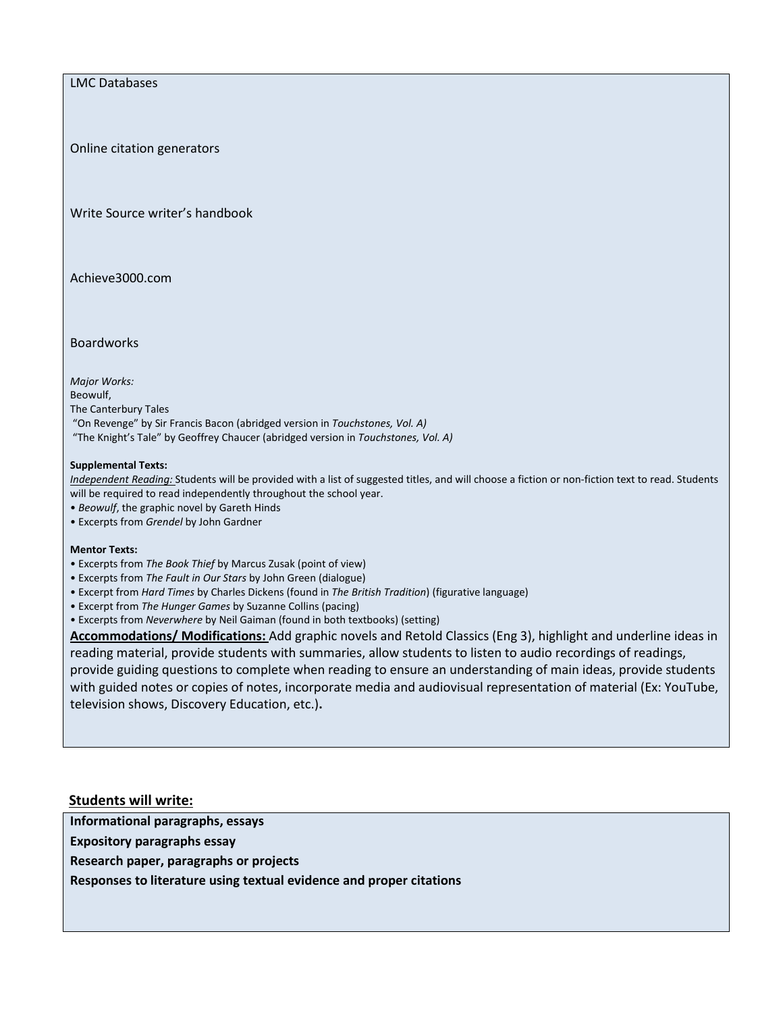LMC Databases

Online citation generators

Write Source writer's handbook

Achieve3000.com

Boardworks

*Major Works:*  Beowulf, The Canterbury Tales "On Revenge" by Sir Francis Bacon (abridged version in *Touchstones, Vol. A)*  "The Knight's Tale" by Geoffrey Chaucer (abridged version in *Touchstones, Vol. A)* 

### **Supplemental Texts:**

*Independent Reading:* Students will be provided with a list of suggested titles, and will choose a fiction or non-fiction text to read. Students will be required to read independently throughout the school year.

- *Beowulf*, the graphic novel by Gareth Hinds
- Excerpts from *Grendel* by John Gardner

#### **Mentor Texts:**

- Excerpts from *The Book Thief* by Marcus Zusak (point of view)
- Excerpts from *The Fault in Our Stars* by John Green (dialogue)
- Excerpt from *Hard Times* by Charles Dickens (found in *The British Tradition*) (figurative language)
- Excerpt from *The Hunger Games* by Suzanne Collins (pacing)
- Excerpts from *Neverwhere* by Neil Gaiman (found in both textbooks) (setting)

**Accommodations/ Modifications:** Add graphic novels and Retold Classics (Eng 3), highlight and underline ideas in reading material, provide students with summaries, allow students to listen to audio recordings of readings, provide guiding questions to complete when reading to ensure an understanding of main ideas, provide students with guided notes or copies of notes, incorporate media and audiovisual representation of material (Ex: YouTube, television shows, Discovery Education, etc.)**.** 

### **Students will write:**

**Informational paragraphs, essays**

**Expository paragraphs essay**

**Research paper, paragraphs or projects**

**Responses to literature using textual evidence and proper citations**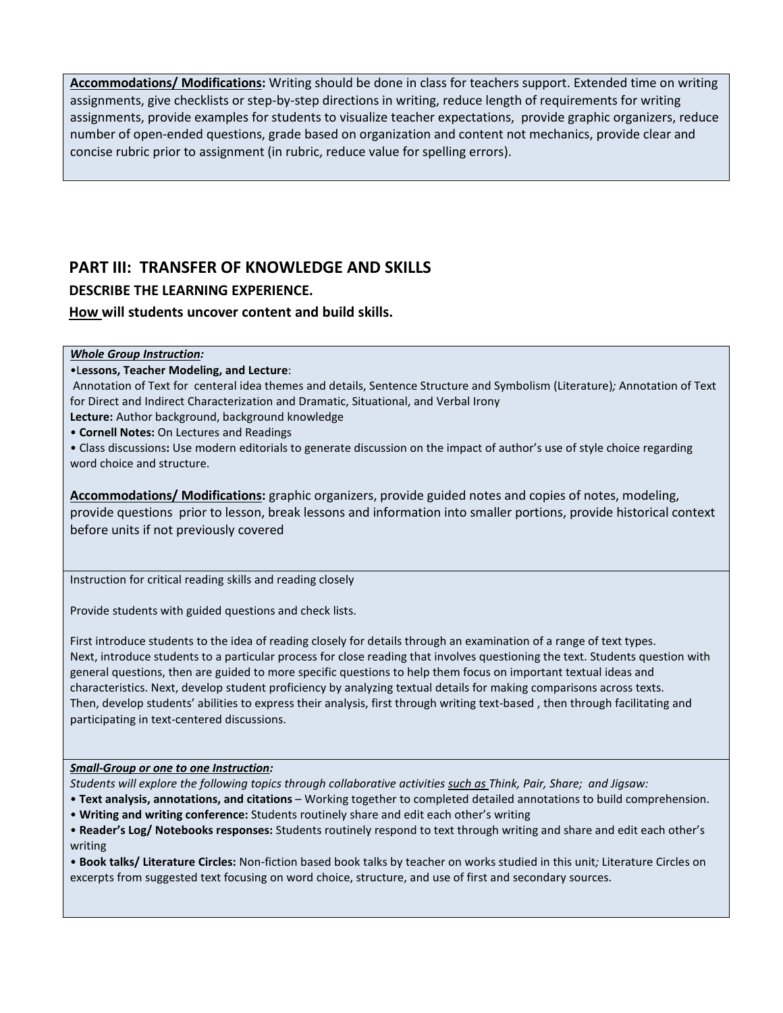**Accommodations/ Modifications:** Writing should be done in class for teachers support. Extended time on writing assignments, give checklists or step-by-step directions in writing, reduce length of requirements for writing assignments, provide examples for students to visualize teacher expectations, provide graphic organizers, reduce number of open-ended questions, grade based on organization and content not mechanics, provide clear and concise rubric prior to assignment (in rubric, reduce value for spelling errors).

# **PART III: TRANSFER OF KNOWLEDGE AND SKILLS DESCRIBE THE LEARNING EXPERIENCE. How will students uncover content and build skills.**

### *Whole Group Instruction:*

### •L**essons, Teacher Modeling, and Lecture**:

Annotation of Text for centeral idea themes and details, Sentence Structure and Symbolism (Literature)*;* Annotation of Text for Direct and Indirect Characterization and Dramatic, Situational, and Verbal Irony

**Lecture:** Author background, background knowledge

• **Cornell Notes:** On Lectures and Readings

• Class discussions**:** Use modern editorials to generate discussion on the impact of author's use of style choice regarding word choice and structure.

**Accommodations/ Modifications:** graphic organizers, provide guided notes and copies of notes, modeling, provide questions prior to lesson, break lessons and information into smaller portions, provide historical context before units if not previously covered

Instruction for critical reading skills and reading closely

Provide students with guided questions and check lists.

First introduce students to the idea of reading closely for details through an examination of a range of text types. Next, introduce students to a particular process for close reading that involves questioning the text. Students question with general questions, then are guided to more specific questions to help them focus on important textual ideas and characteristics. Next, develop student proficiency by analyzing textual details for making comparisons across texts. Then, develop students' abilities to express their analysis, first through writing text-based , then through facilitating and participating in text-centered discussions.

### *Small-Group or one to one Instruction:*

*Students will explore the following topics through collaborative activities such as Think, Pair, Share; and Jigsaw:* 

- **Text analysis, annotations, and citations**  Working together to completed detailed annotations to build comprehension.
- **Writing and writing conference:** Students routinely share and edit each other's writing
- **Reader's Log/ Notebooks responses:** Students routinely respond to text through writing and share and edit each other's writing

• **Book talks/ Literature Circles:** Non-fiction based book talks by teacher on works studied in this unit*;* Literature Circles on excerpts from suggested text focusing on word choice, structure, and use of first and secondary sources.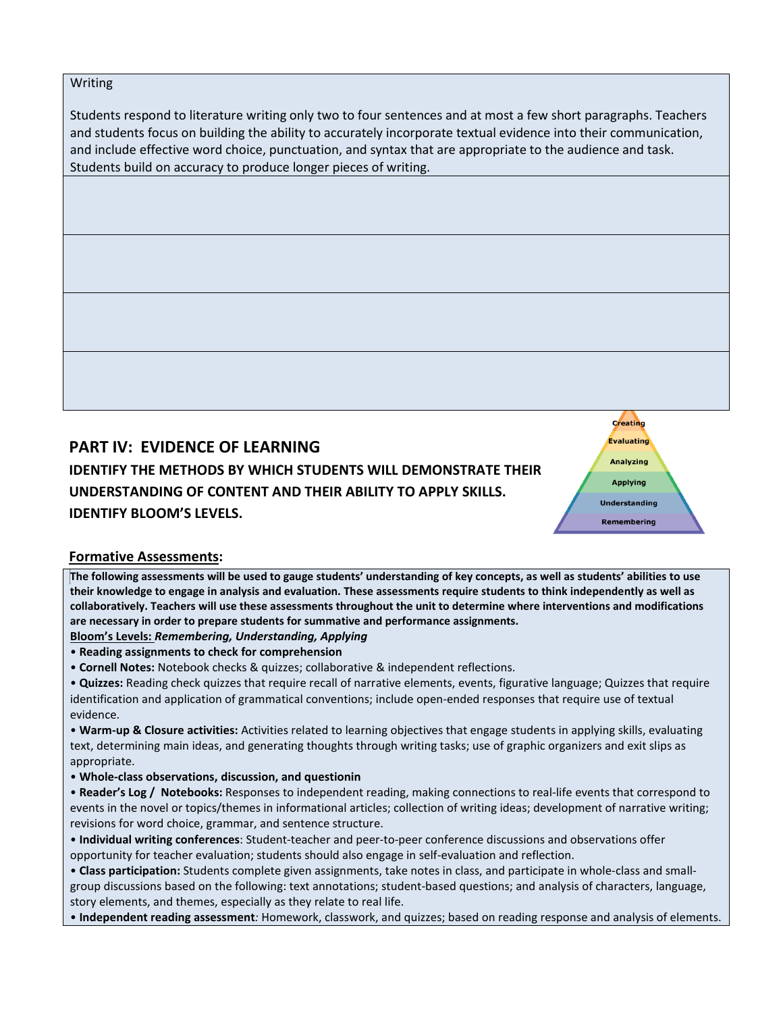### Writing

Students respond to literature writing only two to four sentences and at most a few short paragraphs. Teachers and students focus on building the ability to accurately incorporate textual evidence into their communication, and include effective word choice, punctuation, and syntax that are appropriate to the audience and task. Students build on accuracy to produce longer pieces of writing.

# **PART IV: EVIDENCE OF LEARNING**

**IDENTIFY THE METHODS BY WHICH STUDENTS WILL DEMONSTRATE THEIR UNDERSTANDING OF CONTENT AND THEIR ABILITY TO APPLY SKILLS. IDENTIFY BLOOM'S LEVELS.** 

# **Formative Assessments:**

**The following assessments will be used to gauge students' understanding of key concepts, as well as students' abilities to use their knowledge to engage in analysis and evaluation. These assessments require students to think independently as well as collaboratively. Teachers will use these assessments throughout the unit to determine where interventions and modifications are necessary in order to prepare students for summative and performance assignments.** 

Creating **Evaluating Analyzing Applying Understanding** Remembering

### **Bloom's Levels:** *Remembering, Understanding, Applying*

- **Reading assignments to check for comprehension**
- **Cornell Notes:** Notebook checks & quizzes; collaborative & independent reflections.
- **Quizzes:** Reading check quizzes that require recall of narrative elements, events, figurative language; Quizzes that require identification and application of grammatical conventions; include open-ended responses that require use of textual evidence.

• **Warm-up & Closure activities:** Activities related to learning objectives that engage students in applying skills, evaluating text, determining main ideas, and generating thoughts through writing tasks; use of graphic organizers and exit slips as appropriate.

- **Whole-class observations, discussion, and questionin**
- **Reader's Log / Notebooks:** Responses to independent reading, making connections to real-life events that correspond to events in the novel or topics/themes in informational articles; collection of writing ideas; development of narrative writing; revisions for word choice, grammar, and sentence structure.

• **Individual writing conferences**: Student-teacher and peer-to-peer conference discussions and observations offer opportunity for teacher evaluation; students should also engage in self-evaluation and reflection.

• **Class participation:** Students complete given assignments, take notes in class, and participate in whole-class and smallgroup discussions based on the following: text annotations; student-based questions; and analysis of characters, language, story elements, and themes, especially as they relate to real life.

• **Independent reading assessment***:* Homework, classwork, and quizzes; based on reading response and analysis of elements.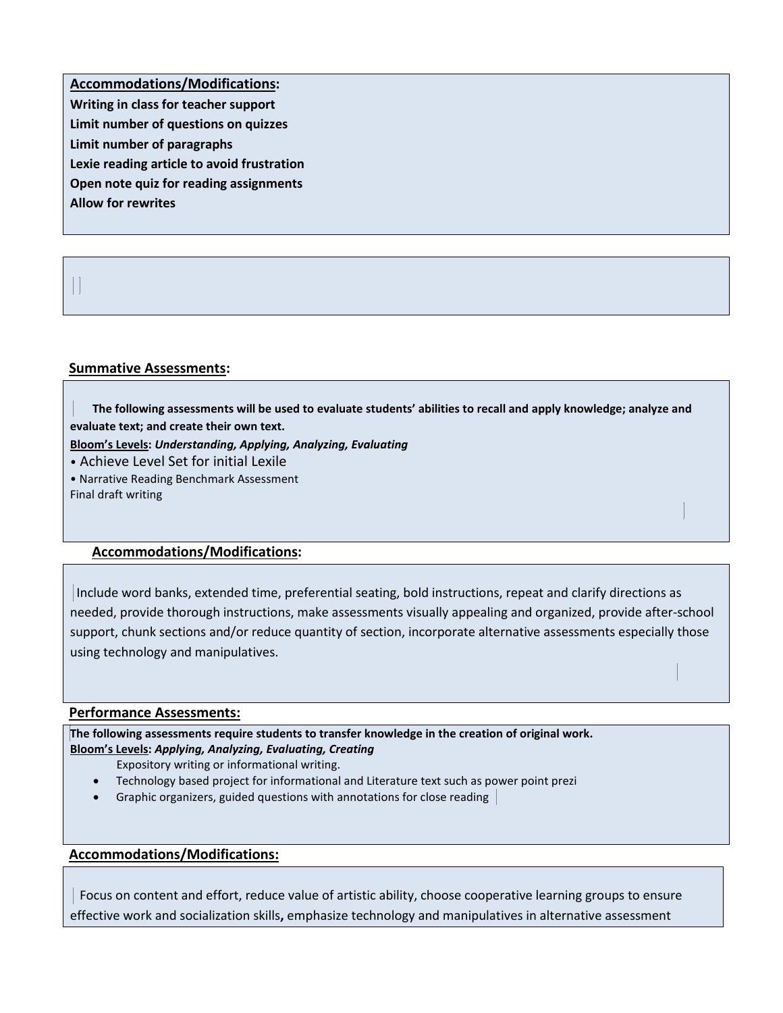**Accommodations/Modifications: Writing in class for teacher support Limit number of questions on quizzes Limit number of paragraphs Lexie reading article to avoid frustration Open note quiz for reading assignments Allow for rewrites** 

### **Summative Assessments:**

 **The following assessments will be used to evaluate students' abilities to recall and apply knowledge; analyze and evaluate text; and create their own text.** 

**Bloom's Levels:** *Understanding, Applying, Analyzing, Evaluating* 

• Achieve Level Set for initial Lexile • Narrative Reading Benchmark Assessment

Final draft writing

### **Accommodations/Modifications:**

Include word banks, extended time, preferential seating, bold instructions, repeat and clarify directions as needed, provide thorough instructions, make assessments visually appealing and organized, provide after-school support, chunk sections and/or reduce quantity of section, incorporate alternative assessments especially those using technology and manipulatives.

### **Performance Assessments:**

**The following assessments require students to transfer knowledge in the creation of original work. Bloom's Levels:** *Applying, Analyzing, Evaluating, Creating* 

- Expository writing or informational writing.
- Technology based project for informational and Literature text such as power point prezi
- Graphic organizers, guided questions with annotations for close reading

### **Accommodations/Modifications:**

Focus on content and effort, reduce value of artistic ability, choose cooperative learning groups to ensure effective work and socialization skills**,** emphasize technology and manipulatives in alternative assessment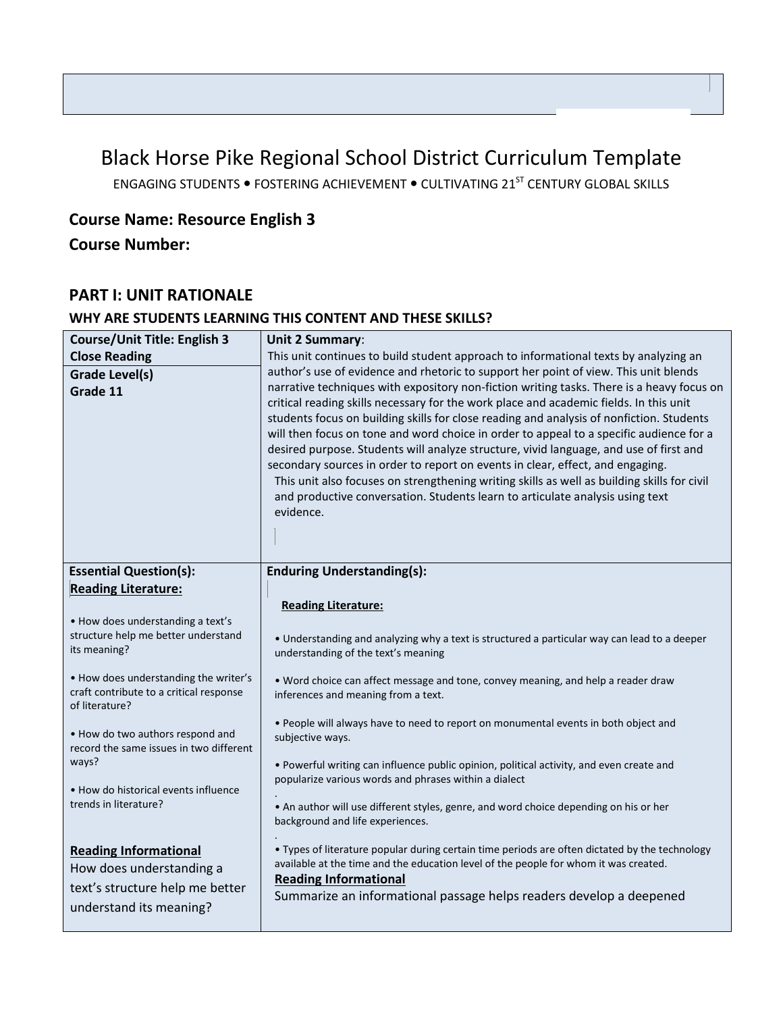# Black Horse Pike Regional School District Curriculum Template

ENGAGING STUDENTS . FOSTERING ACHIEVEMENT . CULTIVATING 21<sup>ST</sup> CENTURY GLOBAL SKILLS

# **Course Name: Resource English 3**

**Course Number:**

# **PART I: UNIT RATIONALE**

### **WHY ARE STUDENTS LEARNING THIS CONTENT AND THESE SKILLS?**

| <b>Course/Unit Title: English 3</b>                           | <b>Unit 2 Summary:</b>                                                                         |
|---------------------------------------------------------------|------------------------------------------------------------------------------------------------|
| <b>Close Reading</b>                                          | This unit continues to build student approach to informational texts by analyzing an           |
| Grade Level(s)                                                | author's use of evidence and rhetoric to support her point of view. This unit blends           |
| Grade 11                                                      | narrative techniques with expository non-fiction writing tasks. There is a heavy focus on      |
|                                                               | critical reading skills necessary for the work place and academic fields. In this unit         |
|                                                               | students focus on building skills for close reading and analysis of nonfiction. Students       |
|                                                               | will then focus on tone and word choice in order to appeal to a specific audience for a        |
|                                                               | desired purpose. Students will analyze structure, vivid language, and use of first and         |
|                                                               | secondary sources in order to report on events in clear, effect, and engaging.                 |
|                                                               | This unit also focuses on strengthening writing skills as well as building skills for civil    |
|                                                               | and productive conversation. Students learn to articulate analysis using text<br>evidence.     |
|                                                               |                                                                                                |
|                                                               |                                                                                                |
|                                                               |                                                                                                |
| <b>Essential Question(s):</b>                                 | <b>Enduring Understanding(s):</b>                                                              |
| <b>Reading Literature:</b>                                    |                                                                                                |
|                                                               | <b>Reading Literature:</b>                                                                     |
| • How does understanding a text's                             |                                                                                                |
| structure help me better understand<br>its meaning?           | . Understanding and analyzing why a text is structured a particular way can lead to a deeper   |
|                                                               | understanding of the text's meaning                                                            |
| . How does understanding the writer's                         | . Word choice can affect message and tone, convey meaning, and help a reader draw              |
| craft contribute to a critical response                       | inferences and meaning from a text.                                                            |
| of literature?                                                |                                                                                                |
| . How do two authors respond and                              | . People will always have to need to report on monumental events in both object and            |
| record the same issues in two different                       | subjective ways.                                                                               |
| ways?                                                         | . Powerful writing can influence public opinion, political activity, and even create and       |
|                                                               | popularize various words and phrases within a dialect                                          |
| • How do historical events influence<br>trends in literature? |                                                                                                |
|                                                               | • An author will use different styles, genre, and word choice depending on his or her          |
|                                                               | background and life experiences.                                                               |
| <b>Reading Informational</b>                                  | . Types of literature popular during certain time periods are often dictated by the technology |
| How does understanding a                                      | available at the time and the education level of the people for whom it was created.           |
| text's structure help me better                               | <b>Reading Informational</b>                                                                   |
|                                                               | Summarize an informational passage helps readers develop a deepened                            |
| understand its meaning?                                       |                                                                                                |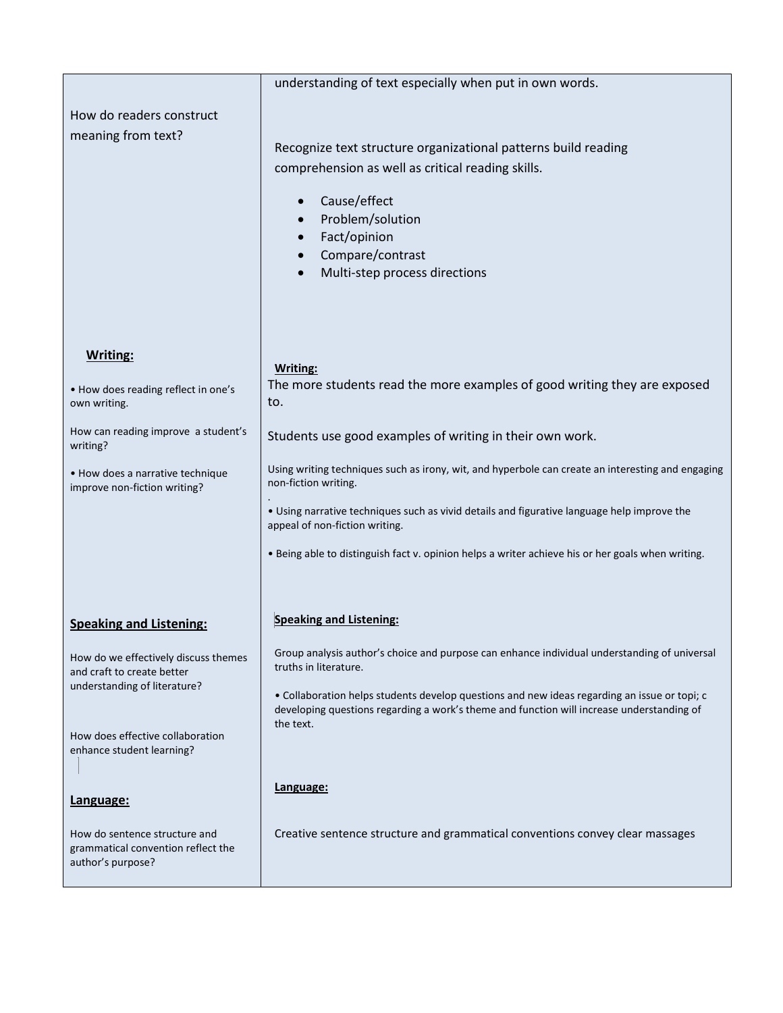|                                                            | understanding of text especially when put in own words.                                                               |
|------------------------------------------------------------|-----------------------------------------------------------------------------------------------------------------------|
| How do readers construct                                   |                                                                                                                       |
| meaning from text?                                         |                                                                                                                       |
|                                                            | Recognize text structure organizational patterns build reading                                                        |
|                                                            | comprehension as well as critical reading skills.                                                                     |
|                                                            |                                                                                                                       |
|                                                            | Cause/effect                                                                                                          |
|                                                            | Problem/solution                                                                                                      |
|                                                            | Fact/opinion                                                                                                          |
|                                                            | Compare/contrast                                                                                                      |
|                                                            | Multi-step process directions                                                                                         |
|                                                            |                                                                                                                       |
|                                                            |                                                                                                                       |
|                                                            |                                                                                                                       |
| Writing:                                                   |                                                                                                                       |
|                                                            | Writing:                                                                                                              |
| • How does reading reflect in one's                        | The more students read the more examples of good writing they are exposed                                             |
| own writing.                                               | to.                                                                                                                   |
| How can reading improve a student's                        | Students use good examples of writing in their own work.                                                              |
| writing?                                                   |                                                                                                                       |
| • How does a narrative technique                           | Using writing techniques such as irony, wit, and hyperbole can create an interesting and engaging                     |
| improve non-fiction writing?                               | non-fiction writing.                                                                                                  |
|                                                            | . Using narrative techniques such as vivid details and figurative language help improve the                           |
|                                                            | appeal of non-fiction writing.                                                                                        |
|                                                            |                                                                                                                       |
|                                                            | . Being able to distinguish fact v. opinion helps a writer achieve his or her goals when writing.                     |
|                                                            |                                                                                                                       |
|                                                            |                                                                                                                       |
| <b>Speaking and Listening:</b>                             | <b>Speaking and Listening:</b>                                                                                        |
|                                                            |                                                                                                                       |
| How do we effectively discuss themes                       | Group analysis author's choice and purpose can enhance individual understanding of universal<br>truths in literature. |
| and craft to create better<br>understanding of literature? |                                                                                                                       |
|                                                            | · Collaboration helps students develop questions and new ideas regarding an issue or topi; c                          |
|                                                            | developing questions regarding a work's theme and function will increase understanding of<br>the text.                |
| How does effective collaboration                           |                                                                                                                       |
| enhance student learning?                                  |                                                                                                                       |
|                                                            |                                                                                                                       |
|                                                            | Language:                                                                                                             |
| Language:                                                  |                                                                                                                       |
| How do sentence structure and                              | Creative sentence structure and grammatical conventions convey clear massages                                         |
| grammatical convention reflect the                         |                                                                                                                       |
| author's purpose?                                          |                                                                                                                       |
|                                                            |                                                                                                                       |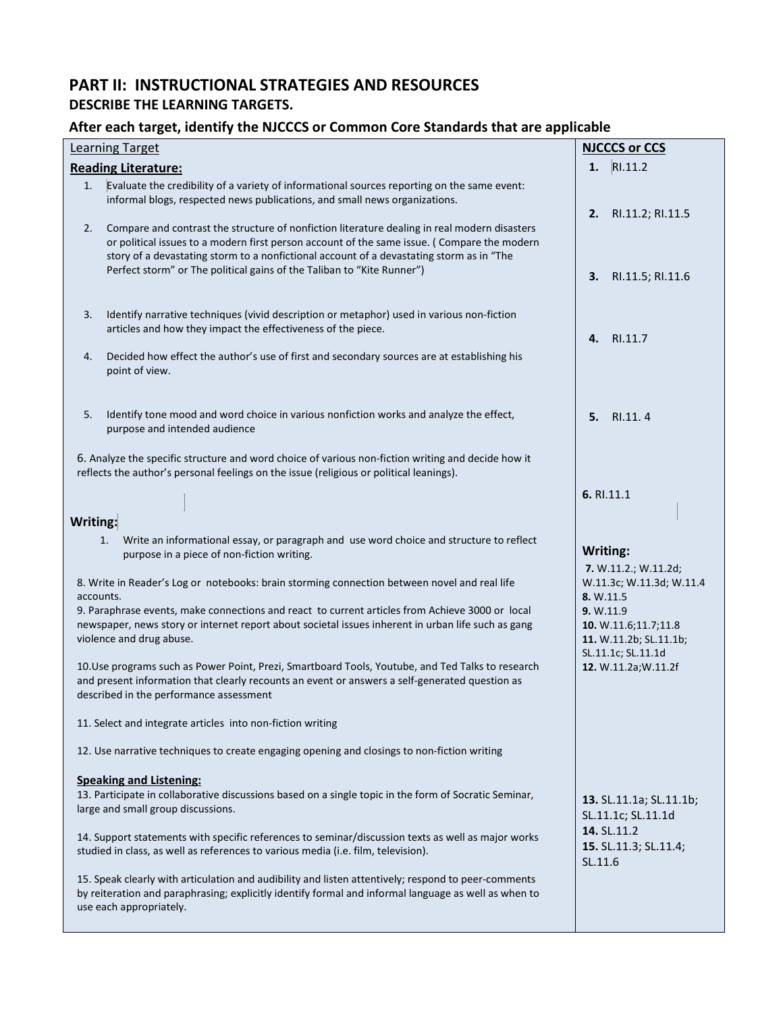# **PART II: INSTRUCTIONAL STRATEGIES AND RESOURCES DESCRIBE THE LEARNING TARGETS.**

### **After each target, identify the NJCCCS or Common Core Standards that are applicable**

| <b>Learning Target</b>                                                                                                                                                                                                                                                 |                                                                                                                                                                                                                                                                                                                                                                           | <b>NJCCCS or CCS</b>                                                                     |
|------------------------------------------------------------------------------------------------------------------------------------------------------------------------------------------------------------------------------------------------------------------------|---------------------------------------------------------------------------------------------------------------------------------------------------------------------------------------------------------------------------------------------------------------------------------------------------------------------------------------------------------------------------|------------------------------------------------------------------------------------------|
|                                                                                                                                                                                                                                                                        | <b>Reading Literature:</b>                                                                                                                                                                                                                                                                                                                                                | RI.11.2<br>1.                                                                            |
| 1.<br>2.                                                                                                                                                                                                                                                               | Evaluate the credibility of a variety of informational sources reporting on the same event:<br>informal blogs, respected news publications, and small news organizations.<br>Compare and contrast the structure of nonfiction literature dealing in real modern disasters<br>or political issues to a modern first person account of the same issue. ( Compare the modern | 2.<br>RI.11.2; RI.11.5                                                                   |
|                                                                                                                                                                                                                                                                        | story of a devastating storm to a nonfictional account of a devastating storm as in "The<br>Perfect storm" or The political gains of the Taliban to "Kite Runner")                                                                                                                                                                                                        | 3.<br>RI.11.5; RI.11.6                                                                   |
| 3.                                                                                                                                                                                                                                                                     | Identify narrative techniques (vivid description or metaphor) used in various non-fiction<br>articles and how they impact the effectiveness of the piece.                                                                                                                                                                                                                 | RI.11.7<br>4.                                                                            |
| 4.                                                                                                                                                                                                                                                                     | Decided how effect the author's use of first and secondary sources are at establishing his<br>point of view.                                                                                                                                                                                                                                                              |                                                                                          |
| 5.                                                                                                                                                                                                                                                                     | Identify tone mood and word choice in various nonfiction works and analyze the effect,<br>purpose and intended audience                                                                                                                                                                                                                                                   | 5.<br>RI.11.4                                                                            |
|                                                                                                                                                                                                                                                                        | 6. Analyze the specific structure and word choice of various non-fiction writing and decide how it<br>reflects the author's personal feelings on the issue (religious or political leanings).                                                                                                                                                                             |                                                                                          |
| Writing:                                                                                                                                                                                                                                                               |                                                                                                                                                                                                                                                                                                                                                                           | 6. RI.11.1                                                                               |
|                                                                                                                                                                                                                                                                        | Write an informational essay, or paragraph and use word choice and structure to reflect<br>1.<br>purpose in a piece of non-fiction writing.                                                                                                                                                                                                                               | Writing:<br>7. W.11.2.; W.11.2d;                                                         |
| 8. Write in Reader's Log or notebooks: brain storming connection between novel and real life<br>accounts.                                                                                                                                                              |                                                                                                                                                                                                                                                                                                                                                                           | W.11.3c; W.11.3d; W.11.4<br>8. W.11.5                                                    |
| 9. Paraphrase events, make connections and react to current articles from Achieve 3000 or local<br>newspaper, news story or internet report about societal issues inherent in urban life such as gang<br>violence and drug abuse.                                      |                                                                                                                                                                                                                                                                                                                                                                           | <b>9. W.11.9</b><br>10. W.11.6;11.7;11.8<br>11. W.11.2b; SL.11.1b;<br>SL.11.1c; SL.11.1d |
| 10. Use programs such as Power Point, Prezi, Smartboard Tools, Youtube, and Ted Talks to research<br>12. W.11.2a; W.11.2f<br>and present information that clearly recounts an event or answers a self-generated question as<br>described in the performance assessment |                                                                                                                                                                                                                                                                                                                                                                           |                                                                                          |
|                                                                                                                                                                                                                                                                        | 11. Select and integrate articles into non-fiction writing                                                                                                                                                                                                                                                                                                                |                                                                                          |
|                                                                                                                                                                                                                                                                        | 12. Use narrative techniques to create engaging opening and closings to non-fiction writing                                                                                                                                                                                                                                                                               |                                                                                          |
|                                                                                                                                                                                                                                                                        | <b>Speaking and Listening:</b><br>13. Participate in collaborative discussions based on a single topic in the form of Socratic Seminar,<br>large and small group discussions.                                                                                                                                                                                             | 13. SL.11.1a; SL.11.1b;<br>SL.11.1c; SL.11.1d                                            |
|                                                                                                                                                                                                                                                                        | 14. Support statements with specific references to seminar/discussion texts as well as major works<br>studied in class, as well as references to various media (i.e. film, television).                                                                                                                                                                                   | 14. SL.11.2<br>15. SL.11.3; SL.11.4;<br>SL.11.6                                          |
|                                                                                                                                                                                                                                                                        | 15. Speak clearly with articulation and audibility and listen attentively; respond to peer-comments<br>by reiteration and paraphrasing; explicitly identify formal and informal language as well as when to<br>use each appropriately.                                                                                                                                    |                                                                                          |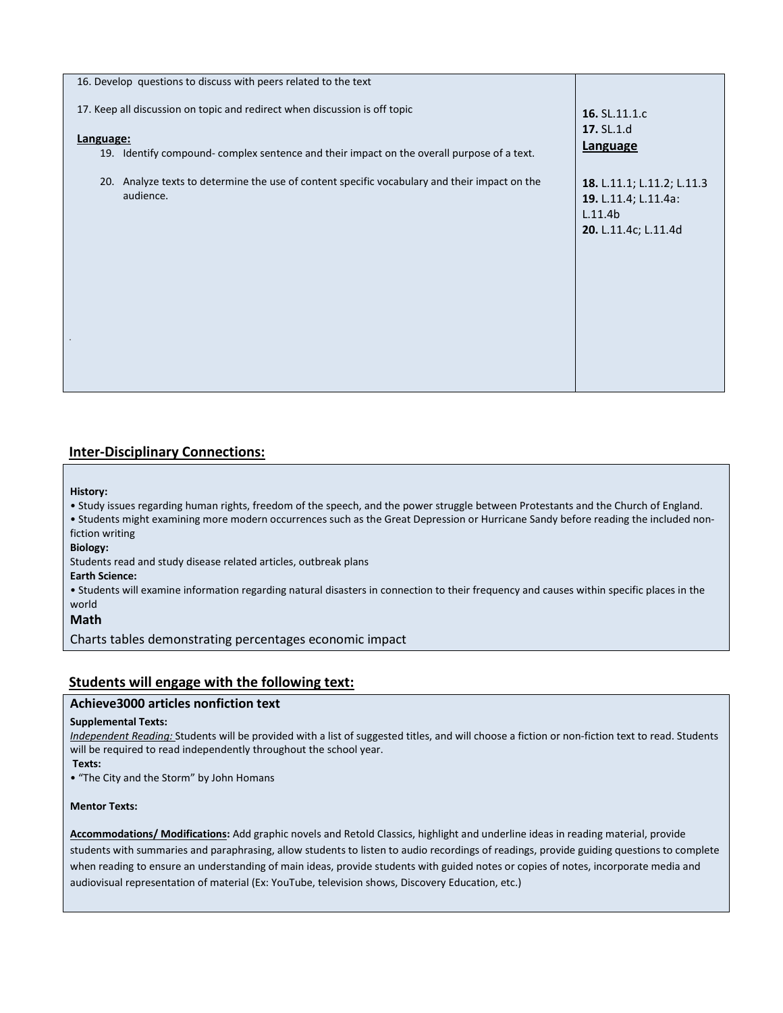| 16. Develop questions to discuss with peers related to the text                                                                                                                       |                                                                                       |
|---------------------------------------------------------------------------------------------------------------------------------------------------------------------------------------|---------------------------------------------------------------------------------------|
| 17. Keep all discussion on topic and redirect when discussion is off topic<br>Language:<br>19. Identify compound- complex sentence and their impact on the overall purpose of a text. | 16. SL.11.1.c<br>17. SL.1.d<br>Language                                               |
| 20. Analyze texts to determine the use of content specific vocabulary and their impact on the<br>audience.                                                                            | 18. L.11.1; L.11.2; L.11.3<br>19. L.11.4; L.11.4a:<br>L.11.4b<br>20. L.11.4c; L.11.4d |

### **Inter-Disciplinary Connections:**

#### **History:**

• Study issues regarding human rights, freedom of the speech, and the power struggle between Protestants and the Church of England.

• Students might examining more modern occurrences such as the Great Depression or Hurricane Sandy before reading the included nonfiction writing

### **Biology:**

Students read and study disease related articles, outbreak plans

**Earth Science:** 

• Students will examine information regarding natural disasters in connection to their frequency and causes within specific places in the world

### **Math**

Charts tables demonstrating percentages economic impact

### **Students will engage with the following text:**

### **Achieve3000 articles nonfiction text**

### **Supplemental Texts:**

*Independent Reading:* Students will be provided with a list of suggested titles, and will choose a fiction or non-fiction text to read. Students will be required to read independently throughout the school year.

#### **Texts:**

• "The City and the Storm" by John Homans

### **Mentor Texts:**

**Accommodations/ Modifications:** Add graphic novels and Retold Classics, highlight and underline ideas in reading material, provide students with summaries and paraphrasing, allow students to listen to audio recordings of readings, provide guiding questions to complete when reading to ensure an understanding of main ideas, provide students with guided notes or copies of notes, incorporate media and audiovisual representation of material (Ex: YouTube, television shows, Discovery Education, etc.)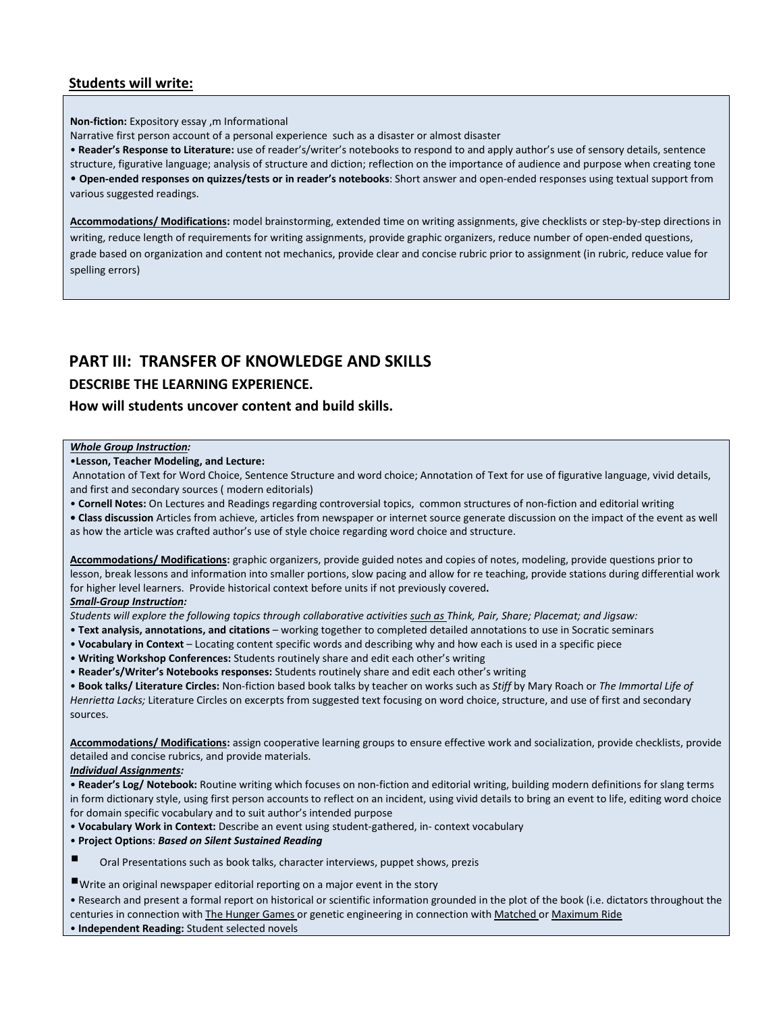### **Students will write:**

**Non-fiction:** Expository essay ,m Informational

Narrative first person account of a personal experience such as a disaster or almost disaster

• **Reader's Response to Literature:** use of reader's/writer's notebooks to respond to and apply author's use of sensory details, sentence

structure, figurative language; analysis of structure and diction; reflection on the importance of audience and purpose when creating tone • **Open-ended responses on quizzes/tests or in reader's notebooks**: Short answer and open-ended responses using textual support from various suggested readings.

**Accommodations/ Modifications:** model brainstorming, extended time on writing assignments, give checklists or step-by-step directions in writing, reduce length of requirements for writing assignments, provide graphic organizers, reduce number of open-ended questions, grade based on organization and content not mechanics, provide clear and concise rubric prior to assignment (in rubric, reduce value for spelling errors)

# **PART III: TRANSFER OF KNOWLEDGE AND SKILLS**

### **DESCRIBE THE LEARNING EXPERIENCE.**

### **How will students uncover content and build skills.**

### *Whole Group Instruction:*

•**Lesson, Teacher Modeling, and Lecture:**

Annotation of Text for Word Choice, Sentence Structure and word choice; Annotation of Text for use of figurative language, vivid details, and first and secondary sources ( modern editorials)

• **Cornell Notes:** On Lectures and Readings regarding controversial topics, common structures of non-fiction and editorial writing

**• Class discussion** Articles from achieve, articles from newspaper or internet source generate discussion on the impact of the event as well as how the article was crafted author's use of style choice regarding word choice and structure.

**Accommodations/ Modifications:** graphic organizers, provide guided notes and copies of notes, modeling, provide questions prior to lesson, break lessons and information into smaller portions, slow pacing and allow for re teaching, provide stations during differential work for higher level learners. Provide historical context before units if not previously covered**.**  *Small-Group Instruction:* 

*Students will explore the following topics through collaborative activities such as Think, Pair, Share; Placemat; and Jigsaw:* 

- **Text analysis, annotations, and citations**  working together to completed detailed annotations to use in Socratic seminars
- **Vocabulary in Context**  Locating content specific words and describing why and how each is used in a specific piece
- **Writing Workshop Conferences:** Students routinely share and edit each other's writing
- **Reader's/Writer's Notebooks responses:** Students routinely share and edit each other's writing

• **Book talks/ Literature Circles:** Non-fiction based book talks by teacher on works such as *Stiff* by Mary Roach or *The Immortal Life of Henrietta Lacks;* Literature Circles on excerpts from suggested text focusing on word choice, structure, and use of first and secondary sources.

**Accommodations/ Modifications:** assign cooperative learning groups to ensure effective work and socialization, provide checklists, provide detailed and concise rubrics, and provide materials.

#### *Individual Assignments:*

• **Reader's Log/ Notebook:** Routine writing which focuses on non-fiction and editorial writing, building modern definitions for slang terms in form dictionary style, using first person accounts to reflect on an incident, using vivid details to bring an event to life, editing word choice for domain specific vocabulary and to suit author's intended purpose

- **Vocabulary Work in Context:** Describe an event using student-gathered, in- context vocabulary
- **Project Options**: *Based on Silent Sustained Reading*
- Oral Presentations such as book talks, character interviews, puppet shows, prezis
- Write an original newspaper editorial reporting on a major event in the story

• Research and present a formal report on historical or scientific information grounded in the plot of the book (i.e. dictators throughout the centuries in connection with The Hunger Games or genetic engineering in connection with Matched or Maximum Ride • **Independent Reading:** Student selected novels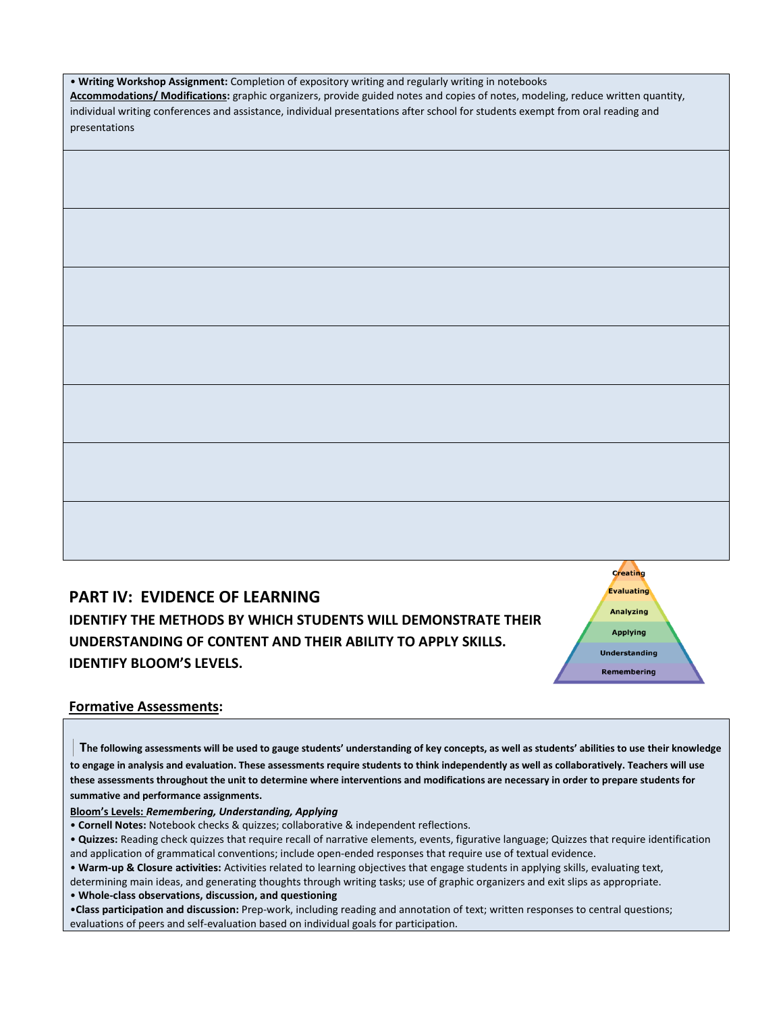| . Writing Workshop Assignment: Completion of expository writing and regularly writing in notebooks |  |  |
|----------------------------------------------------------------------------------------------------|--|--|
|----------------------------------------------------------------------------------------------------|--|--|

**Accommodations/ Modifications:** graphic organizers, provide guided notes and copies of notes, modeling, reduce written quantity, individual writing conferences and assistance, individual presentations after school for students exempt from oral reading and presentations

**PART IV: EVIDENCE OF LEARNING**

**IDENTIFY THE METHODS BY WHICH STUDENTS WILL DEMONSTRATE THEIR UNDERSTANDING OF CONTENT AND THEIR ABILITY TO APPLY SKILLS. IDENTIFY BLOOM'S LEVELS.** 

Analyzing **Applying Understanding** Remembering

### **Formative Assessments:**

 **The following assessments will be used to gauge students' understanding of key concepts, as well as students' abilities to use their knowledge to engage in analysis and evaluation. These assessments require students to think independently as well as collaboratively. Teachers will use these assessments throughout the unit to determine where interventions and modifications are necessary in order to prepare students for summative and performance assignments.** 

**Bloom's Levels:** *Remembering, Understanding, Applying*

• **Cornell Notes:** Notebook checks & quizzes; collaborative & independent reflections.

• **Quizzes:** Reading check quizzes that require recall of narrative elements, events, figurative language; Quizzes that require identification and application of grammatical conventions; include open-ended responses that require use of textual evidence.

• **Warm-up & Closure activities:** Activities related to learning objectives that engage students in applying skills, evaluating text, determining main ideas, and generating thoughts through writing tasks; use of graphic organizers and exit slips as appropriate.

• **Whole-class observations, discussion, and questioning** 

•**Class participation and discussion:** Prep-work, including reading and annotation of text; written responses to central questions; evaluations of peers and self-evaluation based on individual goals for participation.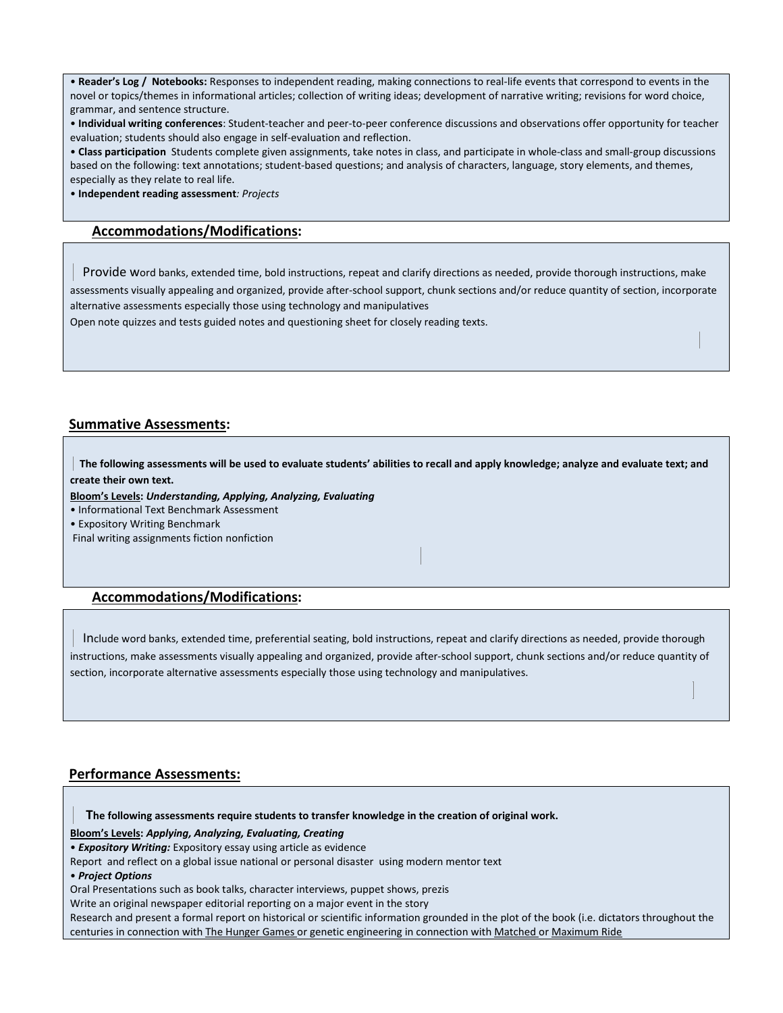• **Reader's Log / Notebooks:** Responses to independent reading, making connections to real-life events that correspond to events in the novel or topics/themes in informational articles; collection of writing ideas; development of narrative writing; revisions for word choice, grammar, and sentence structure.

• **Individual writing conferences**: Student-teacher and peer-to-peer conference discussions and observations offer opportunity for teacher evaluation; students should also engage in self-evaluation and reflection.

• **Class participation** Students complete given assignments, take notes in class, and participate in whole-class and small-group discussions based on the following: text annotations; student-based questions; and analysis of characters, language, story elements, and themes, especially as they relate to real life.

• **Independent reading assessment***: Projects* 

### **Accommodations/Modifications:**

 Provide word banks, extended time, bold instructions, repeat and clarify directions as needed, provide thorough instructions, make assessments visually appealing and organized, provide after-school support, chunk sections and/or reduce quantity of section, incorporate alternative assessments especially those using technology and manipulatives

Open note quizzes and tests guided notes and questioning sheet for closely reading texts.

### **Summative Assessments:**

 **The following assessments will be used to evaluate students' abilities to recall and apply knowledge; analyze and evaluate text; and create their own text.** 

**Bloom's Levels:** *Understanding, Applying, Analyzing, Evaluating*

• Informational Text Benchmark Assessment

• Expository Writing Benchmark

Final writing assignments fiction nonfiction

### **Accommodations/Modifications:**

 Include word banks, extended time, preferential seating, bold instructions, repeat and clarify directions as needed, provide thorough instructions, make assessments visually appealing and organized, provide after-school support, chunk sections and/or reduce quantity of section, incorporate alternative assessments especially those using technology and manipulatives.

### **Performance Assessments:**

 **The following assessments require students to transfer knowledge in the creation of original work.** 

**Bloom's Levels:** *Applying, Analyzing, Evaluating, Creating* 

• *Expository Writing:* Expository essay using article as evidence

Report and reflect on a global issue national or personal disaster using modern mentor text

• *Project Options*

Oral Presentations such as book talks, character interviews, puppet shows, prezis

Write an original newspaper editorial reporting on a major event in the story

Research and present a formal report on historical or scientific information grounded in the plot of the book (i.e. dictators throughout the centuries in connection with The Hunger Games or genetic engineering in connection with Matched or Maximum Ride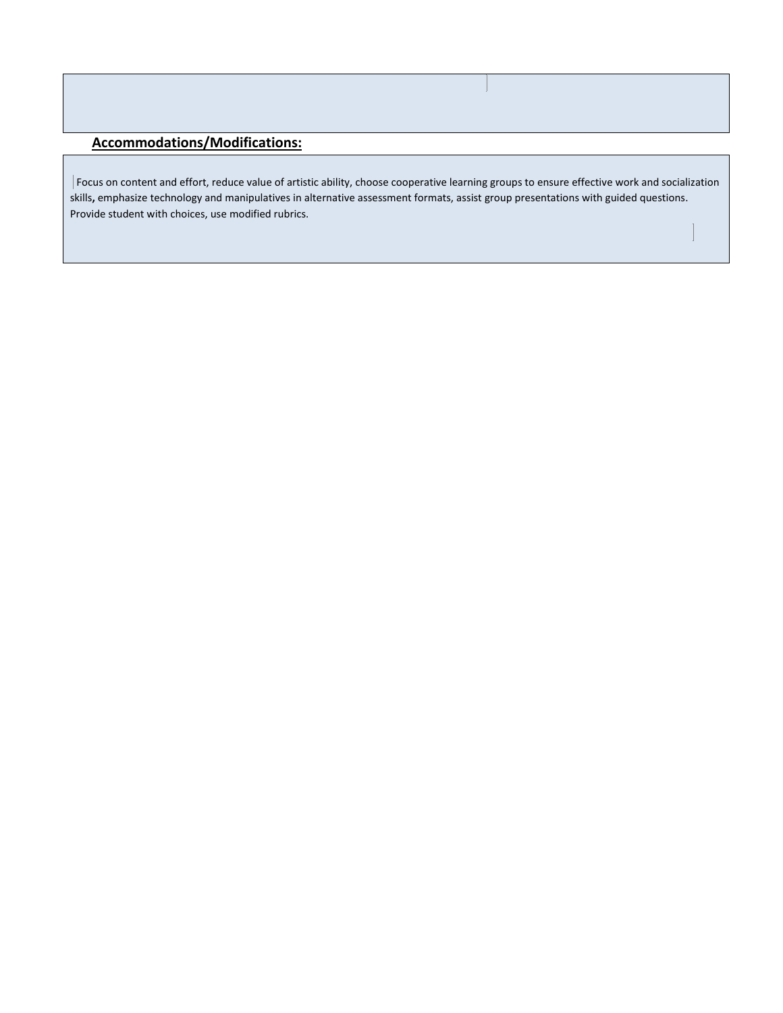# **Accommodations/Modifications:**

Focus on content and effort, reduce value of artistic ability, choose cooperative learning groups to ensure effective work and socialization skills**,** emphasize technology and manipulatives in alternative assessment formats, assist group presentations with guided questions. Provide student with choices, use modified rubrics.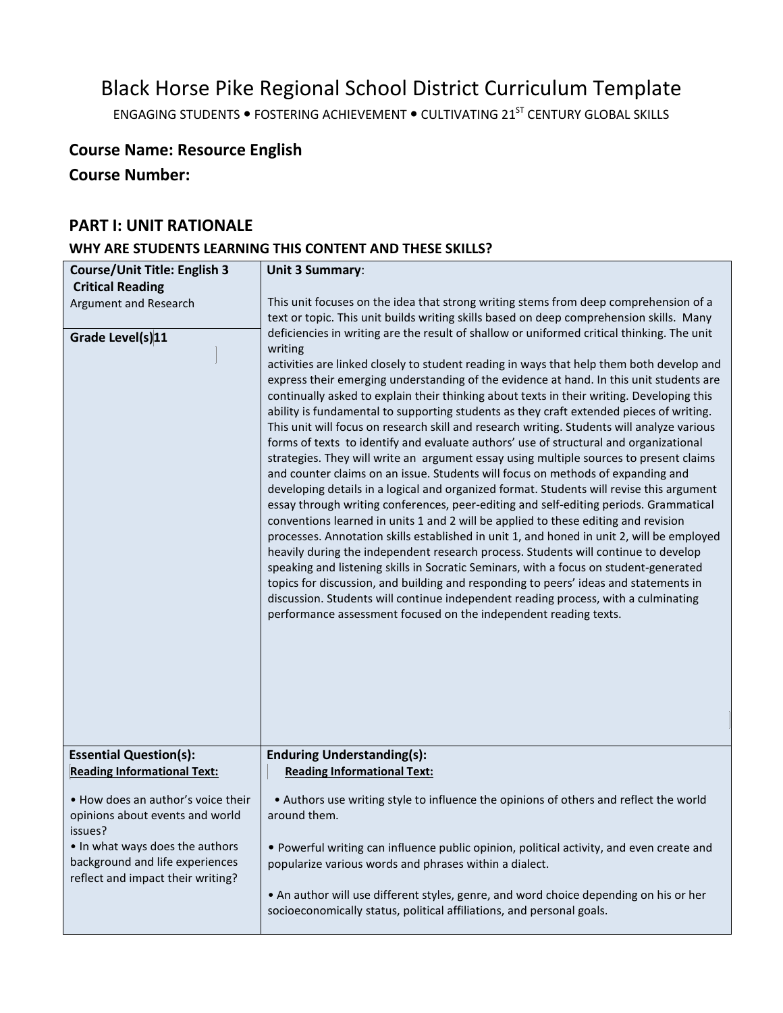# Black Horse Pike Regional School District Curriculum Template

ENGAGING STUDENTS . FOSTERING ACHIEVEMENT . CULTIVATING 21<sup>ST</sup> CENTURY GLOBAL SKILLS

# **Course Name: Resource English**

**Course Number:**

# **PART I: UNIT RATIONALE**

# **WHY ARE STUDENTS LEARNING THIS CONTENT AND THESE SKILLS?**

| <b>Course/Unit Title: English 3</b>                                                                     | Unit 3 Summary:                                                                                                                                                                                                                                                                                                                                                                                                                                                                                                                                                                                                                                                                                                                                                                                                                                                                                                                                                                                                                                                                                                                                                                                                                                                                                                                                                                                                                                                                                                                                                     |  |
|---------------------------------------------------------------------------------------------------------|---------------------------------------------------------------------------------------------------------------------------------------------------------------------------------------------------------------------------------------------------------------------------------------------------------------------------------------------------------------------------------------------------------------------------------------------------------------------------------------------------------------------------------------------------------------------------------------------------------------------------------------------------------------------------------------------------------------------------------------------------------------------------------------------------------------------------------------------------------------------------------------------------------------------------------------------------------------------------------------------------------------------------------------------------------------------------------------------------------------------------------------------------------------------------------------------------------------------------------------------------------------------------------------------------------------------------------------------------------------------------------------------------------------------------------------------------------------------------------------------------------------------------------------------------------------------|--|
| <b>Critical Reading</b>                                                                                 |                                                                                                                                                                                                                                                                                                                                                                                                                                                                                                                                                                                                                                                                                                                                                                                                                                                                                                                                                                                                                                                                                                                                                                                                                                                                                                                                                                                                                                                                                                                                                                     |  |
| Argument and Research<br>Grade Level(s)11                                                               | This unit focuses on the idea that strong writing stems from deep comprehension of a<br>text or topic. This unit builds writing skills based on deep comprehension skills. Many<br>deficiencies in writing are the result of shallow or uniformed critical thinking. The unit                                                                                                                                                                                                                                                                                                                                                                                                                                                                                                                                                                                                                                                                                                                                                                                                                                                                                                                                                                                                                                                                                                                                                                                                                                                                                       |  |
|                                                                                                         | writing<br>activities are linked closely to student reading in ways that help them both develop and<br>express their emerging understanding of the evidence at hand. In this unit students are<br>continually asked to explain their thinking about texts in their writing. Developing this<br>ability is fundamental to supporting students as they craft extended pieces of writing.<br>This unit will focus on research skill and research writing. Students will analyze various<br>forms of texts to identify and evaluate authors' use of structural and organizational<br>strategies. They will write an argument essay using multiple sources to present claims<br>and counter claims on an issue. Students will focus on methods of expanding and<br>developing details in a logical and organized format. Students will revise this argument<br>essay through writing conferences, peer-editing and self-editing periods. Grammatical<br>conventions learned in units 1 and 2 will be applied to these editing and revision<br>processes. Annotation skills established in unit 1, and honed in unit 2, will be employed<br>heavily during the independent research process. Students will continue to develop<br>speaking and listening skills in Socratic Seminars, with a focus on student-generated<br>topics for discussion, and building and responding to peers' ideas and statements in<br>discussion. Students will continue independent reading process, with a culminating<br>performance assessment focused on the independent reading texts. |  |
| <b>Essential Question(s):</b><br><b>Reading Informational Text:</b>                                     | <b>Enduring Understanding(s):</b><br><b>Reading Informational Text:</b>                                                                                                                                                                                                                                                                                                                                                                                                                                                                                                                                                                                                                                                                                                                                                                                                                                                                                                                                                                                                                                                                                                                                                                                                                                                                                                                                                                                                                                                                                             |  |
| . How does an author's voice their<br>opinions about events and world<br>issues?                        | • Authors use writing style to influence the opinions of others and reflect the world<br>around them.                                                                                                                                                                                                                                                                                                                                                                                                                                                                                                                                                                                                                                                                                                                                                                                                                                                                                                                                                                                                                                                                                                                                                                                                                                                                                                                                                                                                                                                               |  |
| • In what ways does the authors<br>background and life experiences<br>reflect and impact their writing? | . Powerful writing can influence public opinion, political activity, and even create and<br>popularize various words and phrases within a dialect.                                                                                                                                                                                                                                                                                                                                                                                                                                                                                                                                                                                                                                                                                                                                                                                                                                                                                                                                                                                                                                                                                                                                                                                                                                                                                                                                                                                                                  |  |
|                                                                                                         | . An author will use different styles, genre, and word choice depending on his or her<br>socioeconomically status, political affiliations, and personal goals.                                                                                                                                                                                                                                                                                                                                                                                                                                                                                                                                                                                                                                                                                                                                                                                                                                                                                                                                                                                                                                                                                                                                                                                                                                                                                                                                                                                                      |  |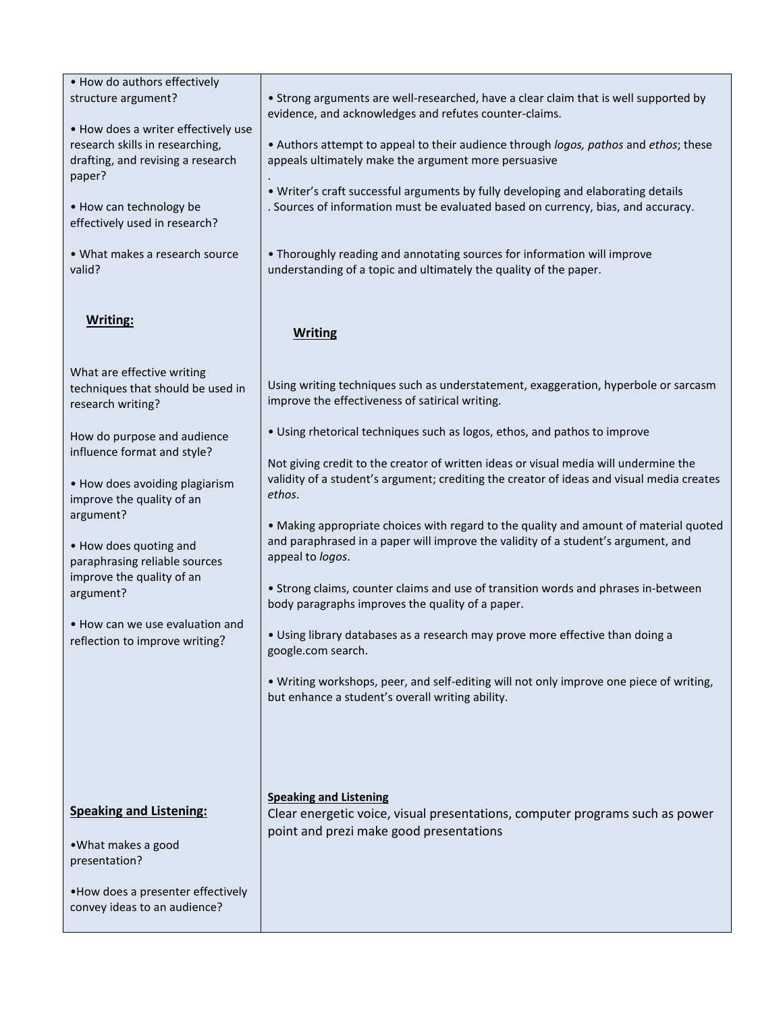| • How do authors effectively                                                                                          |                                                                                                                                                                                                |
|-----------------------------------------------------------------------------------------------------------------------|------------------------------------------------------------------------------------------------------------------------------------------------------------------------------------------------|
| structure argument?                                                                                                   | • Strong arguments are well-researched, have a clear claim that is well supported by<br>evidence, and acknowledges and refutes counter-claims.                                                 |
| • How does a writer effectively use<br>research skills in researching,<br>drafting, and revising a research<br>paper? | . Authors attempt to appeal to their audience through logos, pathos and ethos; these<br>appeals ultimately make the argument more persuasive                                                   |
| • How can technology be<br>effectively used in research?                                                              | . Writer's craft successful arguments by fully developing and elaborating details<br>. Sources of information must be evaluated based on currency, bias, and accuracy.                         |
| • What makes a research source<br>valid?                                                                              | . Thoroughly reading and annotating sources for information will improve<br>understanding of a topic and ultimately the quality of the paper.                                                  |
| <b>Writing:</b>                                                                                                       | <b>Writing</b>                                                                                                                                                                                 |
| What are effective writing<br>techniques that should be used in<br>research writing?                                  | Using writing techniques such as understatement, exaggeration, hyperbole or sarcasm<br>improve the effectiveness of satirical writing.                                                         |
| How do purpose and audience<br>influence format and style?                                                            | . Using rhetorical techniques such as logos, ethos, and pathos to improve<br>Not giving credit to the creator of written ideas or visual media will undermine the                              |
| • How does avoiding plagiarism<br>improve the quality of an                                                           | validity of a student's argument; crediting the creator of ideas and visual media creates<br>ethos.                                                                                            |
| argument?<br>• How does quoting and<br>paraphrasing reliable sources                                                  | . Making appropriate choices with regard to the quality and amount of material quoted<br>and paraphrased in a paper will improve the validity of a student's argument, and<br>appeal to logos. |
| improve the quality of an<br>argument?                                                                                | • Strong claims, counter claims and use of transition words and phrases in-between<br>body paragraphs improves the quality of a paper.                                                         |
| • How can we use evaluation and<br>reflection to improve writing?                                                     | . Using library databases as a research may prove more effective than doing a<br>google.com search.                                                                                            |
|                                                                                                                       | . Writing workshops, peer, and self-editing will not only improve one piece of writing,<br>but enhance a student's overall writing ability.                                                    |
|                                                                                                                       |                                                                                                                                                                                                |
| <b>Speaking and Listening:</b>                                                                                        | <b>Speaking and Listening</b><br>Clear energetic voice, visual presentations, computer programs such as power<br>point and prezi make good presentations                                       |
| • What makes a good<br>presentation?                                                                                  |                                                                                                                                                                                                |
| . How does a presenter effectively<br>convey ideas to an audience?                                                    |                                                                                                                                                                                                |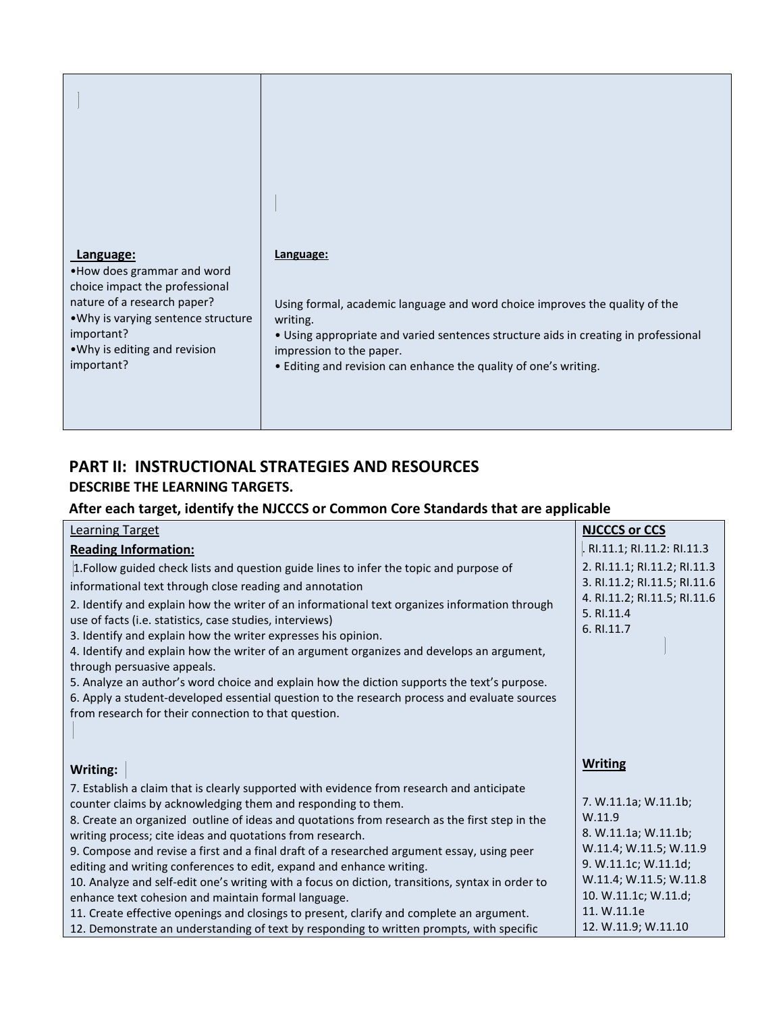| Language:<br>. How does grammar and word<br>choice impact the professional<br>nature of a research paper?<br>. Why is varying sentence structure<br>important?<br>. Why is editing and revision<br>important? | Language:<br>Using formal, academic language and word choice improves the quality of the<br>writing.<br>• Using appropriate and varied sentences structure aids in creating in professional<br>impression to the paper.<br>• Editing and revision can enhance the quality of one's writing. |
|---------------------------------------------------------------------------------------------------------------------------------------------------------------------------------------------------------------|---------------------------------------------------------------------------------------------------------------------------------------------------------------------------------------------------------------------------------------------------------------------------------------------|

# **PART II: INSTRUCTIONAL STRATEGIES AND RESOURCES**

# **DESCRIBE THE LEARNING TARGETS.**

# **After each target, identify the NJCCCS or Common Core Standards that are applicable**

| <b>Learning Target</b>                                                                                                                                                                                                                                                                                                                                                                                                                                                                                                                                                                                                                                                                                                                                              | <b>NJCCCS or CCS</b>                                                                                                     |
|---------------------------------------------------------------------------------------------------------------------------------------------------------------------------------------------------------------------------------------------------------------------------------------------------------------------------------------------------------------------------------------------------------------------------------------------------------------------------------------------------------------------------------------------------------------------------------------------------------------------------------------------------------------------------------------------------------------------------------------------------------------------|--------------------------------------------------------------------------------------------------------------------------|
| <b>Reading Information:</b>                                                                                                                                                                                                                                                                                                                                                                                                                                                                                                                                                                                                                                                                                                                                         | . RI.11.1; RI.11.2: RI.11.3                                                                                              |
| 1. Follow guided check lists and question guide lines to infer the topic and purpose of<br>informational text through close reading and annotation<br>2. Identify and explain how the writer of an informational text organizes information through<br>use of facts (i.e. statistics, case studies, interviews)<br>3. Identify and explain how the writer expresses his opinion.<br>4. Identify and explain how the writer of an argument organizes and develops an argument,<br>through persuasive appeals.<br>5. Analyze an author's word choice and explain how the diction supports the text's purpose.<br>6. Apply a student-developed essential question to the research process and evaluate sources<br>from research for their connection to that question. | 2. RI.11.1; RI.11.2; RI.11.3<br>3. RI.11.2; RI.11.5; RI.11.6<br>4. RI.11.2; RI.11.5; RI.11.6<br>5. RI.11.4<br>6. RI.11.7 |
|                                                                                                                                                                                                                                                                                                                                                                                                                                                                                                                                                                                                                                                                                                                                                                     |                                                                                                                          |
| Writing:                                                                                                                                                                                                                                                                                                                                                                                                                                                                                                                                                                                                                                                                                                                                                            | <b>Writing</b>                                                                                                           |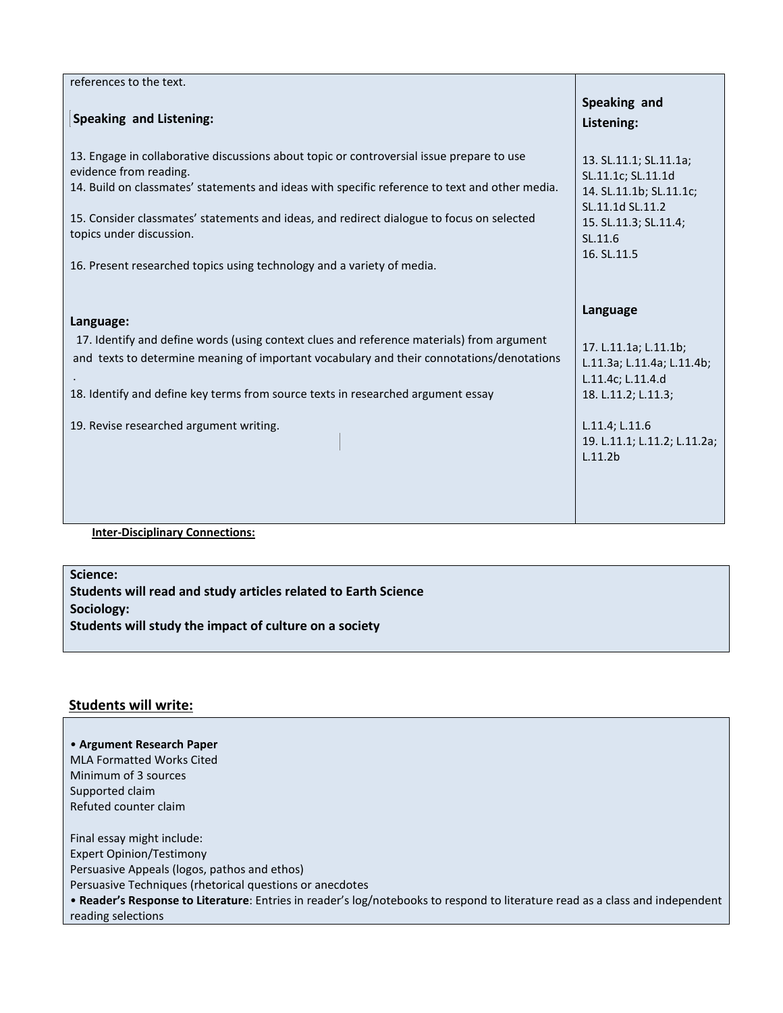| references to the text.                                                                                                                                                                                                                                                                                                                                                                                                  |                                                                                                                                                                          |
|--------------------------------------------------------------------------------------------------------------------------------------------------------------------------------------------------------------------------------------------------------------------------------------------------------------------------------------------------------------------------------------------------------------------------|--------------------------------------------------------------------------------------------------------------------------------------------------------------------------|
| <b>Speaking and Listening:</b>                                                                                                                                                                                                                                                                                                                                                                                           | Speaking and<br>Listening:                                                                                                                                               |
| 13. Engage in collaborative discussions about topic or controversial issue prepare to use<br>evidence from reading.<br>14. Build on classmates' statements and ideas with specific reference to text and other media.<br>15. Consider classmates' statements and ideas, and redirect dialogue to focus on selected<br>topics under discussion.<br>16. Present researched topics using technology and a variety of media. | 13. SL.11.1; SL.11.1a;<br>SL.11.1c; SL.11.1d<br>14. SL.11.1b; SL.11.1c;<br>SL.11.1d SL.11.2<br>15. SL.11.3; SL.11.4;<br>SL.11.6<br>16. SL.11.5                           |
| Language:<br>17. Identify and define words (using context clues and reference materials) from argument<br>and texts to determine meaning of important vocabulary and their connotations/denotations<br>18. Identify and define key terms from source texts in researched argument essay<br>19. Revise researched argument writing.                                                                                       | Language<br>17. L.11.1a; L.11.1b;<br>L.11.3a; L.11.4a; L.11.4b;<br>L.11.4c; L.11.4.d<br>18. L.11.2; L.11.3;<br>L.11.4; L.11.6<br>19. L.11.1; L.11.2; L.11.2a;<br>L.11.2b |
| <b>Inter-Disciplinary Connections:</b>                                                                                                                                                                                                                                                                                                                                                                                   |                                                                                                                                                                          |

**Science:**

**Students will read and study articles related to Earth Science Sociology: Students will study the impact of culture on a society**

### **Students will write:**

• **Argument Research Paper**  MLA Formatted Works Cited Minimum of 3 sources Supported claim Refuted counter claim Final essay might include: Expert Opinion/Testimony Persuasive Appeals (logos, pathos and ethos) Persuasive Techniques (rhetorical questions or anecdotes • **Reader's Response to Literature**: Entries in reader's log/notebooks to respond to literature read as a class and independent reading selections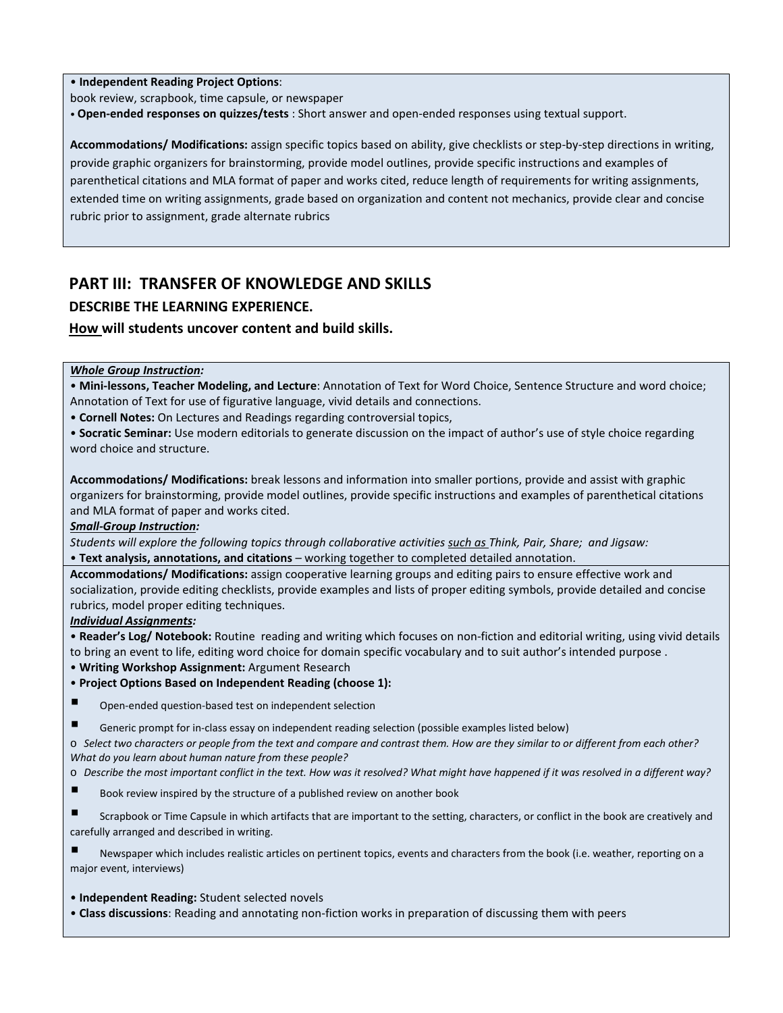• **Independent Reading Project Options**:

book review, scrapbook, time capsule, or newspaper

• **Open-ended responses on quizzes/tests** : Short answer and open-ended responses using textual support.

**Accommodations/ Modifications:** assign specific topics based on ability, give checklists or step-by-step directions in writing, provide graphic organizers for brainstorming, provide model outlines, provide specific instructions and examples of parenthetical citations and MLA format of paper and works cited, reduce length of requirements for writing assignments, extended time on writing assignments, grade based on organization and content not mechanics, provide clear and concise rubric prior to assignment, grade alternate rubrics

# **PART III: TRANSFER OF KNOWLEDGE AND SKILLS**

### **DESCRIBE THE LEARNING EXPERIENCE.**

### **How will students uncover content and build skills.**

### *Whole Group Instruction:*

• **Mini-lessons, Teacher Modeling, and Lecture**: Annotation of Text for Word Choice, Sentence Structure and word choice; Annotation of Text for use of figurative language, vivid details and connections.

• **Cornell Notes:** On Lectures and Readings regarding controversial topics,

• **Socratic Seminar:** Use modern editorials to generate discussion on the impact of author's use of style choice regarding word choice and structure.

**Accommodations/ Modifications:** break lessons and information into smaller portions, provide and assist with graphic organizers for brainstorming, provide model outlines, provide specific instructions and examples of parenthetical citations and MLA format of paper and works cited.

### *Small-Group Instruction:*

*Students will explore the following topics through collaborative activities such as Think, Pair, Share; and Jigsaw:*  • **Text analysis, annotations, and citations** – working together to completed detailed annotation.

**Accommodations/ Modifications:** assign cooperative learning groups and editing pairs to ensure effective work and socialization, provide editing checklists, provide examples and lists of proper editing symbols, provide detailed and concise rubrics, model proper editing techniques.

### *Individual Assignments:*

• **Reader's Log/ Notebook:** Routine reading and writing which focuses on non-fiction and editorial writing, using vivid details to bring an event to life, editing word choice for domain specific vocabulary and to suit author's intended purpose .

• **Writing Workshop Assignment:** Argument Research

- **Project Options Based on Independent Reading (choose 1):**
- Open-ended question-based test on independent selection
- Generic prompt for in-class essay on independent reading selection (possible examples listed below)

o *Select two characters or people from the text and compare and contrast them. How are they similar to or different from each other? What do you learn about human nature from these people?* 

- o *Describe the most important conflict in the text. How was it resolved? What might have happened if it was resolved in a different way?*
- Book review inspired by the structure of a published review on another book
- Scrapbook or Time Capsule in which artifacts that are important to the setting, characters, or conflict in the book are creatively and carefully arranged and described in writing.

 Newspaper which includes realistic articles on pertinent topics, events and characters from the book (i.e. weather, reporting on a major event, interviews)

• **Independent Reading:** Student selected novels

• **Class discussions**: Reading and annotating non-fiction works in preparation of discussing them with peers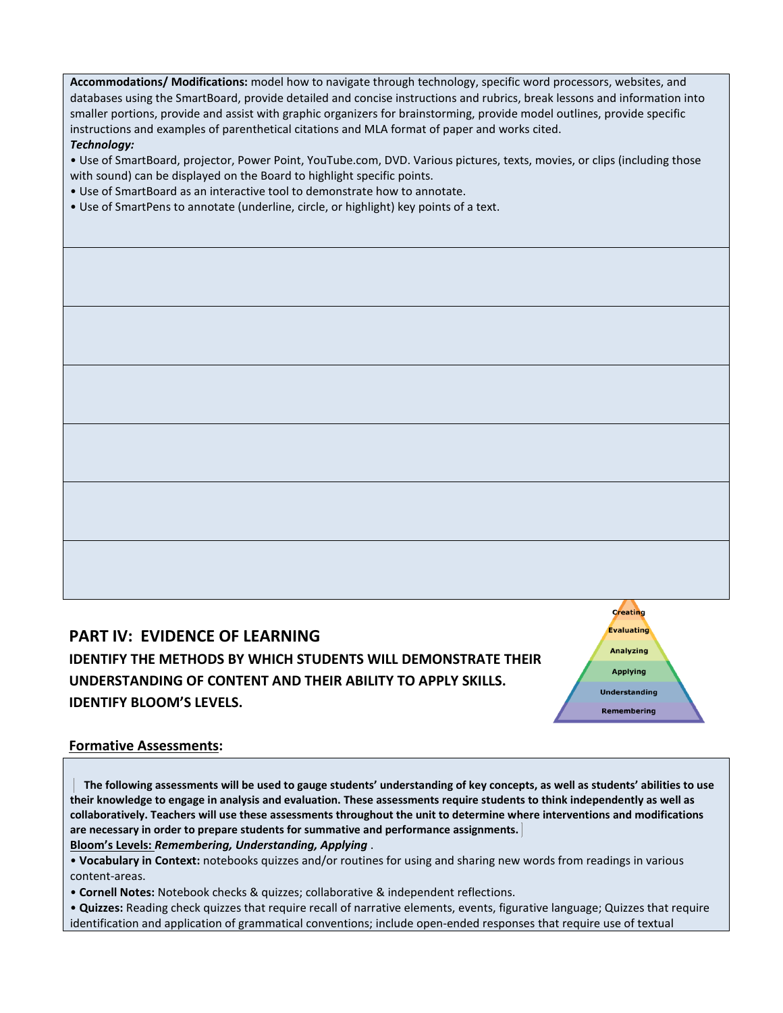**Accommodations/ Modifications:** model how to navigate through technology, specific word processors, websites, and databases using the SmartBoard, provide detailed and concise instructions and rubrics, break lessons and information into smaller portions, provide and assist with graphic organizers for brainstorming, provide model outlines, provide specific instructions and examples of parenthetical citations and MLA format of paper and works cited. *Technology:* 

• Use of SmartBoard, projector, Power Point, YouTube.com, DVD. Various pictures, texts, movies, or clips (including those with sound) can be displayed on the Board to highlight specific points.

- Use of SmartBoard as an interactive tool to demonstrate how to annotate.
- Use of SmartPens to annotate (underline, circle, or highlight) key points of a text.

**PART IV: EVIDENCE OF LEARNING IDENTIFY THE METHODS BY WHICH STUDENTS WILL DEMONSTRATE THEIR UNDERSTANDING OF CONTENT AND THEIR ABILITY TO APPLY SKILLS. IDENTIFY BLOOM'S LEVELS.** 

Creating Evaluating **Analyzing Applying Understanding** Remembering

### **Formative Assessments:**

 **The following assessments will be used to gauge students' understanding of key concepts, as well as students' abilities to use their knowledge to engage in analysis and evaluation. These assessments require students to think independently as well as collaboratively. Teachers will use these assessments throughout the unit to determine where interventions and modifications are necessary in order to prepare students for summative and performance assignments. Bloom's Levels:** *Remembering, Understanding, Applying* .

• **Vocabulary in Context:** notebooks quizzes and/or routines for using and sharing new words from readings in various content-areas.

• **Cornell Notes:** Notebook checks & quizzes; collaborative & independent reflections.

• **Quizzes:** Reading check quizzes that require recall of narrative elements, events, figurative language; Quizzes that require identification and application of grammatical conventions; include open-ended responses that require use of textual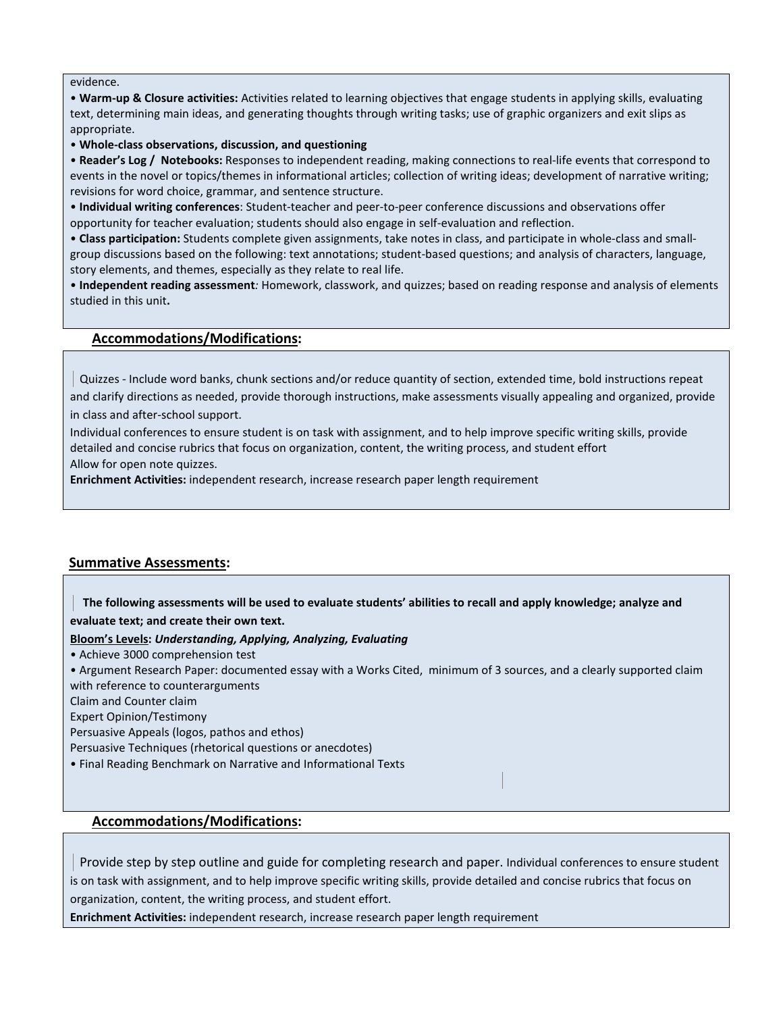evidence.

• **Warm-up & Closure activities:** Activities related to learning objectives that engage students in applying skills, evaluating text, determining main ideas, and generating thoughts through writing tasks; use of graphic organizers and exit slips as appropriate.

• **Whole-class observations, discussion, and questioning** 

• **Reader's Log / Notebooks:** Responses to independent reading, making connections to real-life events that correspond to events in the novel or topics/themes in informational articles; collection of writing ideas; development of narrative writing; revisions for word choice, grammar, and sentence structure.

• **Individual writing conferences**: Student-teacher and peer-to-peer conference discussions and observations offer opportunity for teacher evaluation; students should also engage in self-evaluation and reflection.

• **Class participation:** Students complete given assignments, take notes in class, and participate in whole-class and smallgroup discussions based on the following: text annotations; student-based questions; and analysis of characters, language, story elements, and themes, especially as they relate to real life.

• **Independent reading assessment***:* Homework, classwork, and quizzes; based on reading response and analysis of elements studied in this unit**.** 

### **Accommodations/Modifications:**

Quizzes - Include word banks, chunk sections and/or reduce quantity of section, extended time, bold instructions repeat and clarify directions as needed, provide thorough instructions, make assessments visually appealing and organized, provide

in class and after-school support.

Individual conferences to ensure student is on task with assignment, and to help improve specific writing skills, provide detailed and concise rubrics that focus on organization, content, the writing process, and student effort Allow for open note quizzes.

**Enrichment Activities:** independent research, increase research paper length requirement

### **Summative Assessments:**

 **The following assessments will be used to evaluate students' abilities to recall and apply knowledge; analyze and evaluate text; and create their own text.** 

**Bloom's Levels:** *Understanding, Applying, Analyzing, Evaluating* 

• Achieve 3000 comprehension test

• Argument Research Paper: documented essay with a Works Cited, minimum of 3 sources, and a clearly supported claim with reference to counterarguments

Claim and Counter claim

Expert Opinion/Testimony

Persuasive Appeals (logos, pathos and ethos)

Persuasive Techniques (rhetorical questions or anecdotes)

• Final Reading Benchmark on Narrative and Informational Texts

### **Accommodations/Modifications:**

Provide step by step outline and guide for completing research and paper. Individual conferences to ensure student is on task with assignment, and to help improve specific writing skills, provide detailed and concise rubrics that focus on organization, content, the writing process, and student effort.

**Enrichment Activities:** independent research, increase research paper length requirement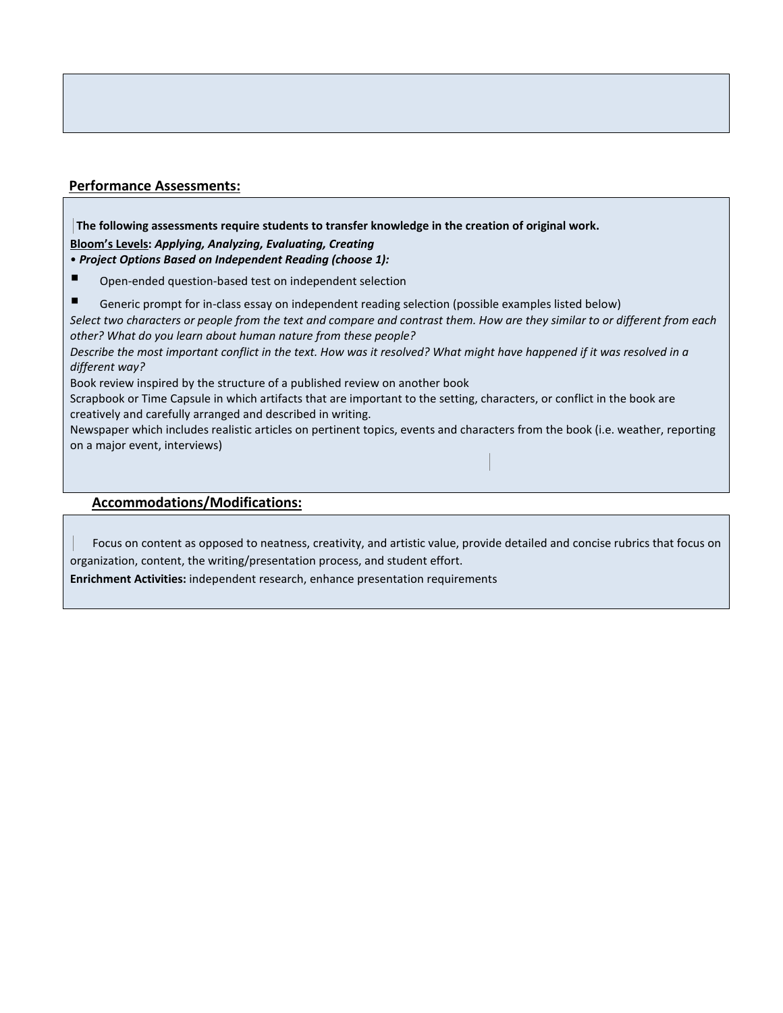### **Performance Assessments:**

**The following assessments require students to transfer knowledge in the creation of original work. Bloom's Levels:** *Applying, Analyzing, Evaluating, Creating* 

• *Project Options Based on Independent Reading (choose 1):* 

- Open-ended question-based test on independent selection
- Generic prompt for in-class essay on independent reading selection (possible examples listed below)

*Select two characters or people from the text and compare and contrast them. How are they similar to or different from each other? What do you learn about human nature from these people?* 

*Describe the most important conflict in the text. How was it resolved? What might have happened if it was resolved in a different way?* 

Book review inspired by the structure of a published review on another book

Scrapbook or Time Capsule in which artifacts that are important to the setting, characters, or conflict in the book are creatively and carefully arranged and described in writing.

Newspaper which includes realistic articles on pertinent topics, events and characters from the book (i.e. weather, reporting on a major event, interviews)

### **Accommodations/Modifications:**

Focus on content as opposed to neatness, creativity, and artistic value, provide detailed and concise rubrics that focus on organization, content, the writing/presentation process, and student effort.

**Enrichment Activities:** independent research, enhance presentation requirements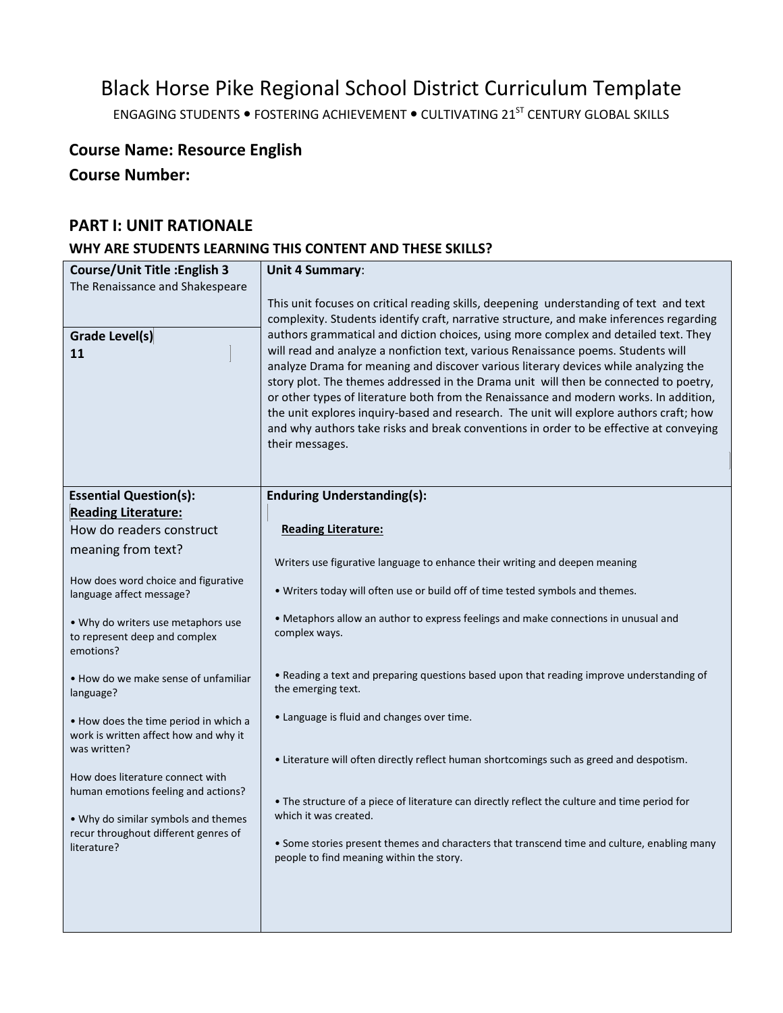# Black Horse Pike Regional School District Curriculum Template

ENGAGING STUDENTS . FOSTERING ACHIEVEMENT . CULTIVATING 21<sup>ST</sup> CENTURY GLOBAL SKILLS

# **Course Name: Resource English**

**Course Number:**

# **PART I: UNIT RATIONALE**

# **WHY ARE STUDENTS LEARNING THIS CONTENT AND THESE SKILLS?**

| <b>Course/Unit Title: English 3</b>                                         | Unit 4 Summary:                                                                                                                                                                   |
|-----------------------------------------------------------------------------|-----------------------------------------------------------------------------------------------------------------------------------------------------------------------------------|
| The Renaissance and Shakespeare                                             |                                                                                                                                                                                   |
|                                                                             | This unit focuses on critical reading skills, deepening understanding of text and text<br>complexity. Students identify craft, narrative structure, and make inferences regarding |
| <b>Grade Level(s)</b>                                                       | authors grammatical and diction choices, using more complex and detailed text. They                                                                                               |
| 11                                                                          | will read and analyze a nonfiction text, various Renaissance poems. Students will<br>analyze Drama for meaning and discover various literary devices while analyzing the          |
|                                                                             | story plot. The themes addressed in the Drama unit will then be connected to poetry,                                                                                              |
|                                                                             | or other types of literature both from the Renaissance and modern works. In addition,<br>the unit explores inquiry-based and research. The unit will explore authors craft; how   |
|                                                                             | and why authors take risks and break conventions in order to be effective at conveying                                                                                            |
|                                                                             | their messages.                                                                                                                                                                   |
|                                                                             |                                                                                                                                                                                   |
| <b>Essential Question(s):</b>                                               | <b>Enduring Understanding(s):</b>                                                                                                                                                 |
| <b>Reading Literature:</b>                                                  |                                                                                                                                                                                   |
| How do readers construct                                                    | <b>Reading Literature:</b>                                                                                                                                                        |
| meaning from text?                                                          | Writers use figurative language to enhance their writing and deepen meaning                                                                                                       |
| How does word choice and figurative                                         | . Writers today will often use or build off of time tested symbols and themes.                                                                                                    |
| language affect message?                                                    |                                                                                                                                                                                   |
| . Why do writers use metaphors use<br>to represent deep and complex         | • Metaphors allow an author to express feelings and make connections in unusual and<br>complex ways.                                                                              |
| emotions?                                                                   |                                                                                                                                                                                   |
| • How do we make sense of unfamiliar                                        | . Reading a text and preparing questions based upon that reading improve understanding of                                                                                         |
| language?                                                                   | the emerging text.                                                                                                                                                                |
| • How does the time period in which a                                       | • Language is fluid and changes over time.                                                                                                                                        |
| work is written affect how and why it<br>was written?                       |                                                                                                                                                                                   |
|                                                                             | • Literature will often directly reflect human shortcomings such as greed and despotism.                                                                                          |
| How does literature connect with<br>human emotions feeling and actions?     |                                                                                                                                                                                   |
|                                                                             | . The structure of a piece of literature can directly reflect the culture and time period for<br>which it was created.                                                            |
| • Why do similar symbols and themes<br>recur throughout different genres of |                                                                                                                                                                                   |
| literature?                                                                 | • Some stories present themes and characters that transcend time and culture, enabling many<br>people to find meaning within the story.                                           |
|                                                                             |                                                                                                                                                                                   |
|                                                                             |                                                                                                                                                                                   |
|                                                                             |                                                                                                                                                                                   |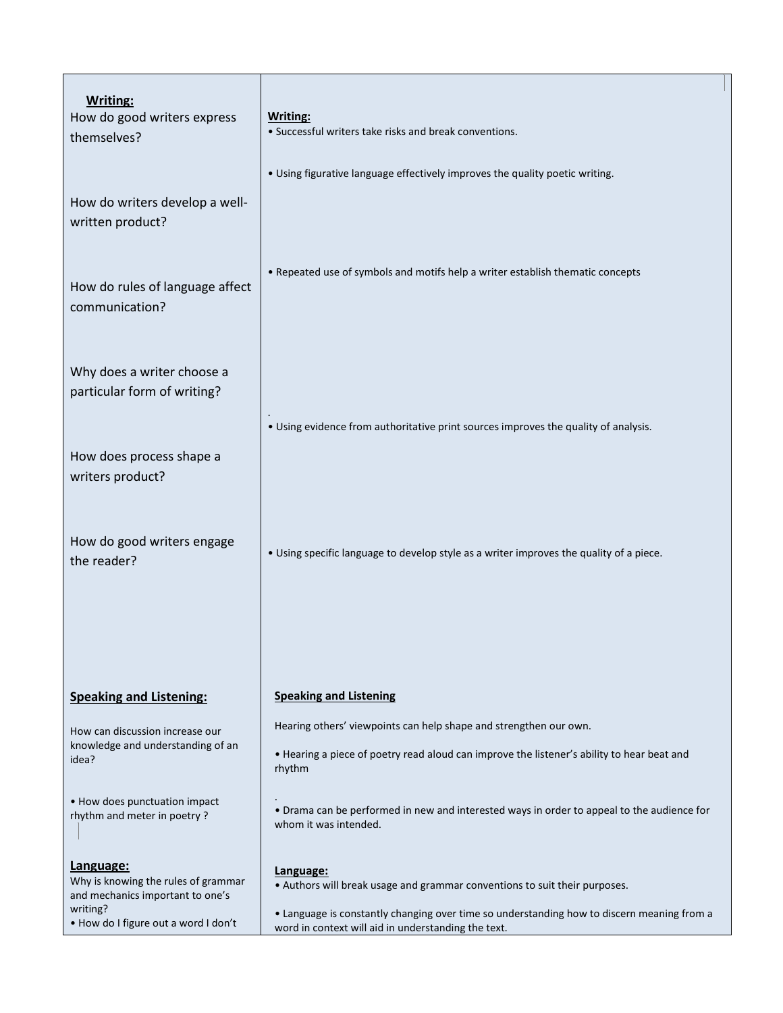| Writing:<br>How do good writers express<br>themselves?                               | Writing:<br>• Successful writers take risks and break conventions.                                                                                |
|--------------------------------------------------------------------------------------|---------------------------------------------------------------------------------------------------------------------------------------------------|
| How do writers develop a well-<br>written product?                                   | . Using figurative language effectively improves the quality poetic writing.                                                                      |
| How do rules of language affect<br>communication?                                    | • Repeated use of symbols and motifs help a writer establish thematic concepts                                                                    |
| Why does a writer choose a<br>particular form of writing?                            |                                                                                                                                                   |
| How does process shape a<br>writers product?                                         | . Using evidence from authoritative print sources improves the quality of analysis.                                                               |
| How do good writers engage<br>the reader?                                            | . Using specific language to develop style as a writer improves the quality of a piece.                                                           |
|                                                                                      |                                                                                                                                                   |
| <b>Speaking and Listening:</b>                                                       | <b>Speaking and Listening</b>                                                                                                                     |
| How can discussion increase our                                                      | Hearing others' viewpoints can help shape and strengthen our own.                                                                                 |
| knowledge and understanding of an<br>idea?                                           | • Hearing a piece of poetry read aloud can improve the listener's ability to hear beat and<br>rhythm                                              |
| • How does punctuation impact<br>rhythm and meter in poetry?                         | • Drama can be performed in new and interested ways in order to appeal to the audience for<br>whom it was intended.                               |
| Language:<br>Why is knowing the rules of grammar<br>and mechanics important to one's | Language:<br>• Authors will break usage and grammar conventions to suit their purposes.                                                           |
| writing?<br>. How do I figure out a word I don't                                     | . Language is constantly changing over time so understanding how to discern meaning from a<br>word in context will aid in understanding the text. |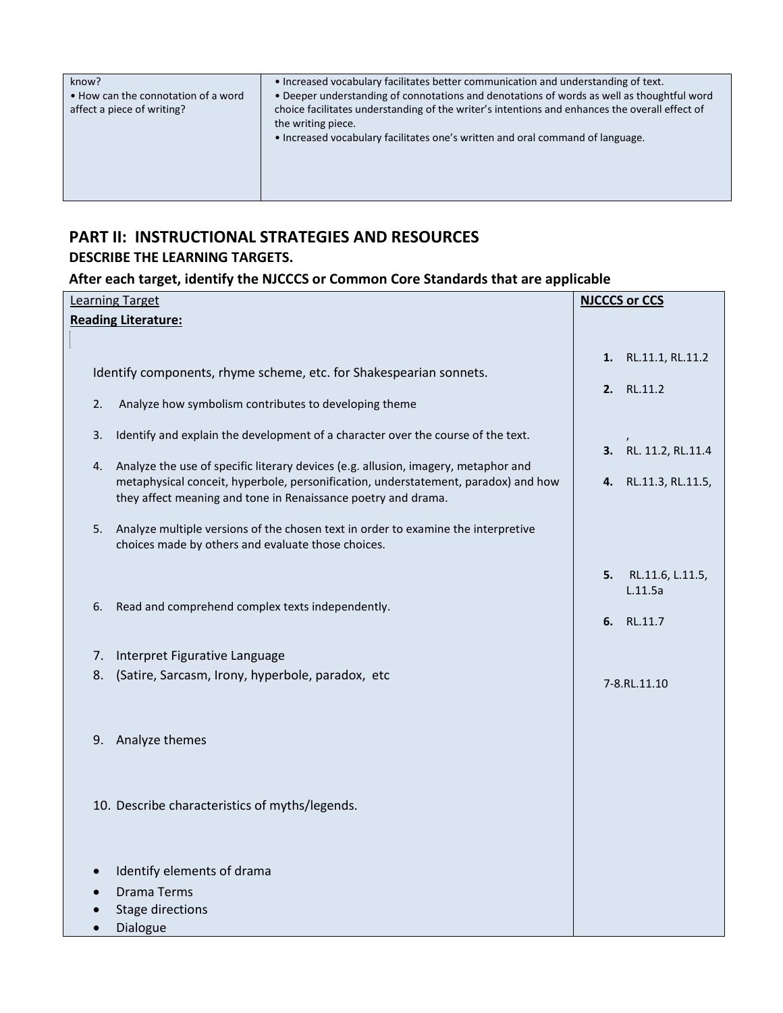| know?<br>• How can the connotation of a word<br>affect a piece of writing? | • Increased vocabulary facilitates better communication and understanding of text.<br>. Deeper understanding of connotations and denotations of words as well as thoughtful word<br>choice facilitates understanding of the writer's intentions and enhances the overall effect of<br>the writing piece.<br>. Increased vocabulary facilitates one's written and oral command of language. |
|----------------------------------------------------------------------------|--------------------------------------------------------------------------------------------------------------------------------------------------------------------------------------------------------------------------------------------------------------------------------------------------------------------------------------------------------------------------------------------|
|                                                                            |                                                                                                                                                                                                                                                                                                                                                                                            |

# **PART II: INSTRUCTIONAL STRATEGIES AND RESOURCES DESCRIBE THE LEARNING TARGETS.**

# **After each target, identify the NJCCCS or Common Core Standards that are applicable**

|          | <b>Learning Target</b>                                                                                                                                                                                                                                                                                                                                                                                                | <b>NJCCCS or CCS</b> |                                           |
|----------|-----------------------------------------------------------------------------------------------------------------------------------------------------------------------------------------------------------------------------------------------------------------------------------------------------------------------------------------------------------------------------------------------------------------------|----------------------|-------------------------------------------|
|          | <b>Reading Literature:</b>                                                                                                                                                                                                                                                                                                                                                                                            |                      |                                           |
| 2.       | Identify components, rhyme scheme, etc. for Shakespearian sonnets.<br>Analyze how symbolism contributes to developing theme                                                                                                                                                                                                                                                                                           |                      | 1. RL.11.1, RL.11.2<br>2. RL.11.2         |
| 3.<br>4. | Identify and explain the development of a character over the course of the text.<br>Analyze the use of specific literary devices (e.g. allusion, imagery, metaphor and<br>metaphysical conceit, hyperbole, personification, understatement, paradox) and how<br>they affect meaning and tone in Renaissance poetry and drama.<br>5. Analyze multiple versions of the chosen text in order to examine the interpretive | 4.                   | 3. RL. 11.2, RL.11.4<br>RL.11.3, RL.11.5, |
| 6.       | choices made by others and evaluate those choices.<br>Read and comprehend complex texts independently.                                                                                                                                                                                                                                                                                                                | 5.<br>6.             | RL.11.6, L.11.5,<br>L.11.5a<br>RL.11.7    |
| 7.<br>8. | Interpret Figurative Language<br>(Satire, Sarcasm, Irony, hyperbole, paradox, etc                                                                                                                                                                                                                                                                                                                                     |                      | 7-8.RL.11.10                              |
| 9.       | Analyze themes                                                                                                                                                                                                                                                                                                                                                                                                        |                      |                                           |
|          | 10. Describe characteristics of myths/legends.<br>Identify elements of drama                                                                                                                                                                                                                                                                                                                                          |                      |                                           |
|          | <b>Drama Terms</b><br><b>Stage directions</b><br>Dialogue                                                                                                                                                                                                                                                                                                                                                             |                      |                                           |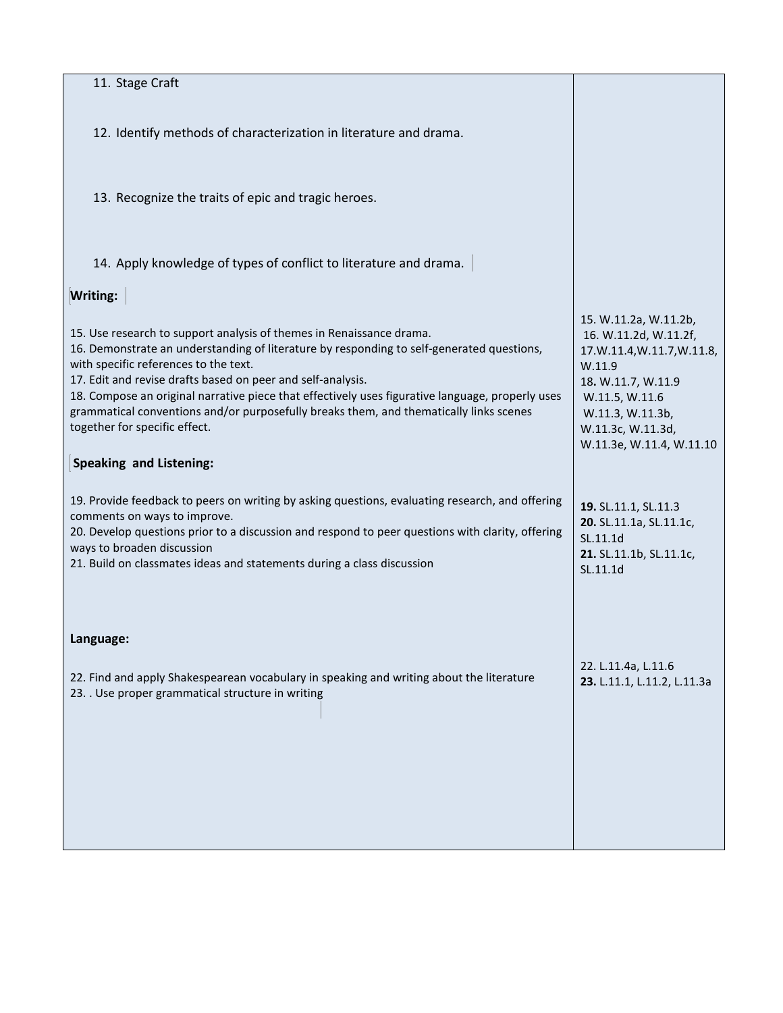| 11. Stage Craft                                                                                                                                                                                                                                                                                                                                                                                                                                                                                                                     |                                                                                                                                                                                                   |
|-------------------------------------------------------------------------------------------------------------------------------------------------------------------------------------------------------------------------------------------------------------------------------------------------------------------------------------------------------------------------------------------------------------------------------------------------------------------------------------------------------------------------------------|---------------------------------------------------------------------------------------------------------------------------------------------------------------------------------------------------|
| 12. Identify methods of characterization in literature and drama.                                                                                                                                                                                                                                                                                                                                                                                                                                                                   |                                                                                                                                                                                                   |
| 13. Recognize the traits of epic and tragic heroes.                                                                                                                                                                                                                                                                                                                                                                                                                                                                                 |                                                                                                                                                                                                   |
| 14. Apply knowledge of types of conflict to literature and drama.                                                                                                                                                                                                                                                                                                                                                                                                                                                                   |                                                                                                                                                                                                   |
| Writing:                                                                                                                                                                                                                                                                                                                                                                                                                                                                                                                            |                                                                                                                                                                                                   |
| 15. Use research to support analysis of themes in Renaissance drama.<br>16. Demonstrate an understanding of literature by responding to self-generated questions,<br>with specific references to the text.<br>17. Edit and revise drafts based on peer and self-analysis.<br>18. Compose an original narrative piece that effectively uses figurative language, properly uses<br>grammatical conventions and/or purposefully breaks them, and thematically links scenes<br>together for specific effect.<br>Speaking and Listening: | 15. W.11.2a, W.11.2b,<br>16. W.11.2d, W.11.2f,<br>17.W.11.4,W.11.7,W.11.8,<br>W.11.9<br>18. W.11.7, W.11.9<br>W.11.5, W.11.6<br>W.11.3, W.11.3b,<br>W.11.3c, W.11.3d,<br>W.11.3e, W.11.4, W.11.10 |
| 19. Provide feedback to peers on writing by asking questions, evaluating research, and offering<br>comments on ways to improve.<br>20. Develop questions prior to a discussion and respond to peer questions with clarity, offering<br>ways to broaden discussion<br>21. Build on classmates ideas and statements during a class discussion                                                                                                                                                                                         | 19. SL.11.1, SL.11.3<br>20. SL.11.1a, SL.11.1c,<br>SL.11.1d<br>21. SL.11.1b, SL.11.1c,<br>SL.11.1d                                                                                                |
| Language:                                                                                                                                                                                                                                                                                                                                                                                                                                                                                                                           |                                                                                                                                                                                                   |
| 22. Find and apply Shakespearean vocabulary in speaking and writing about the literature<br>23. . Use proper grammatical structure in writing                                                                                                                                                                                                                                                                                                                                                                                       | 22. L.11.4a, L.11.6<br>23. L.11.1, L.11.2, L.11.3a                                                                                                                                                |
|                                                                                                                                                                                                                                                                                                                                                                                                                                                                                                                                     |                                                                                                                                                                                                   |
|                                                                                                                                                                                                                                                                                                                                                                                                                                                                                                                                     |                                                                                                                                                                                                   |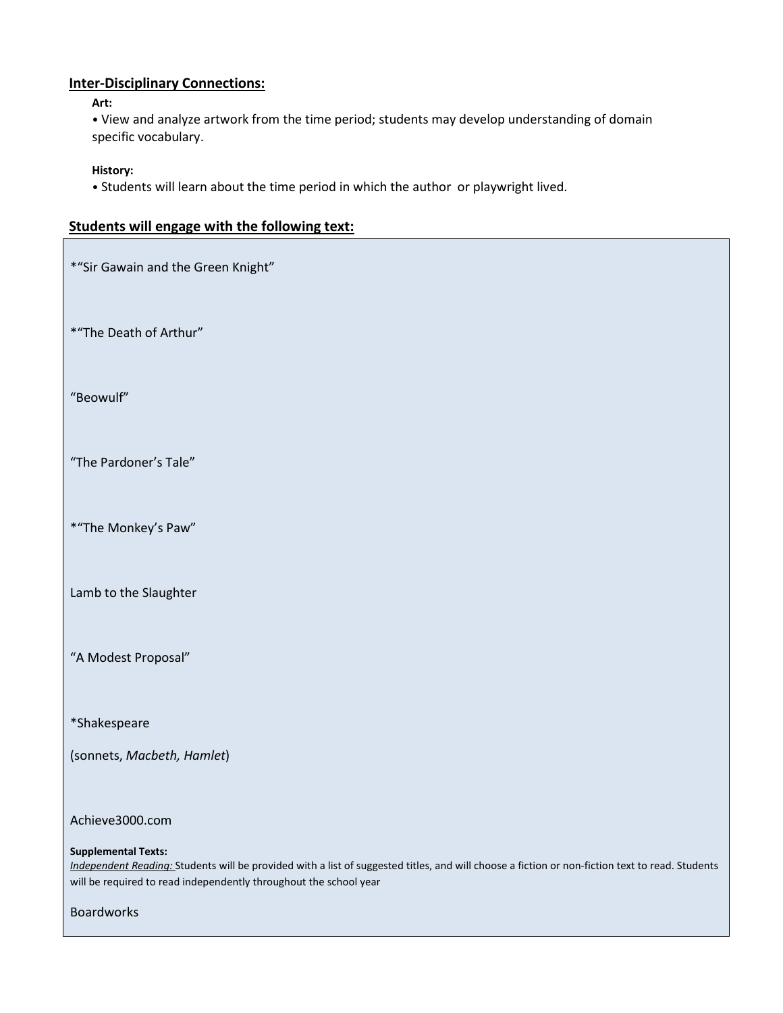### **Inter-Disciplinary Connections:**

### **Art:**

• View and analyze artwork from the time period; students may develop understanding of domain specific vocabulary.

### **History:**

• Students will learn about the time period in which the author or playwright lived.

| Students will engage with the following text: |  |  |  |  |  |  |
|-----------------------------------------------|--|--|--|--|--|--|
|-----------------------------------------------|--|--|--|--|--|--|

\*"Sir Gawain and the Green Knight"

\*"The Death of Arthur"

"Beowulf"

"The Pardoner's Tale"

\*"The Monkey's Paw"

Lamb to the Slaughter

"A Modest Proposal"

\*Shakespeare

(sonnets, *Macbeth, Hamlet*)

Achieve3000.com

### **Supplemental Texts:**

*Independent Reading:* Students will be provided with a list of suggested titles, and will choose a fiction or non-fiction text to read. Students will be required to read independently throughout the school year

Boardworks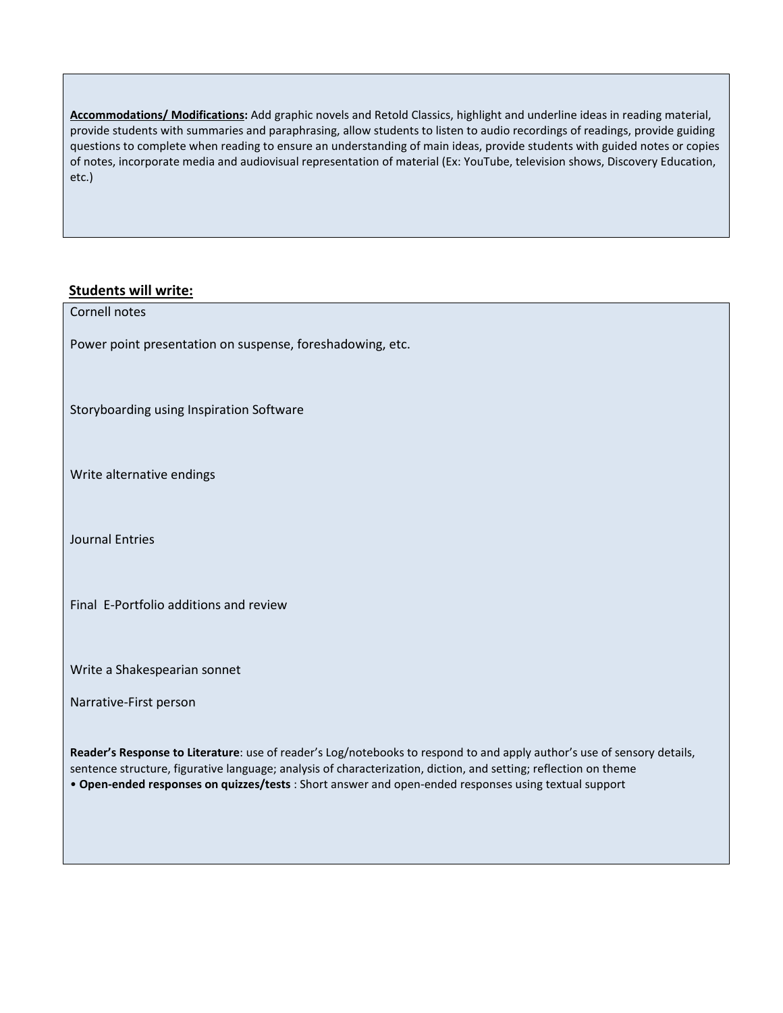**Accommodations/ Modifications:** Add graphic novels and Retold Classics, highlight and underline ideas in reading material, provide students with summaries and paraphrasing, allow students to listen to audio recordings of readings, provide guiding questions to complete when reading to ensure an understanding of main ideas, provide students with guided notes or copies of notes, incorporate media and audiovisual representation of material (Ex: YouTube, television shows, Discovery Education, etc.)

## **Students will write:**

| Cornell notes                                                                                                                                                                                                                               |
|---------------------------------------------------------------------------------------------------------------------------------------------------------------------------------------------------------------------------------------------|
| Power point presentation on suspense, foreshadowing, etc.                                                                                                                                                                                   |
|                                                                                                                                                                                                                                             |
| Storyboarding using Inspiration Software                                                                                                                                                                                                    |
|                                                                                                                                                                                                                                             |
| Write alternative endings                                                                                                                                                                                                                   |
|                                                                                                                                                                                                                                             |
| <b>Journal Entries</b>                                                                                                                                                                                                                      |
|                                                                                                                                                                                                                                             |
|                                                                                                                                                                                                                                             |
| Final E-Portfolio additions and review                                                                                                                                                                                                      |
|                                                                                                                                                                                                                                             |
| Write a Shakespearian sonnet                                                                                                                                                                                                                |
| Narrative-First person                                                                                                                                                                                                                      |
|                                                                                                                                                                                                                                             |
| Reader's Response to Literature: use of reader's Log/notebooks to respond to and apply author's use of sensory details,<br>sentence structure, figurative language; analysis of characterization, diction, and setting; reflection on theme |
| . Open-ended responses on quizzes/tests : Short answer and open-ended responses using textual support                                                                                                                                       |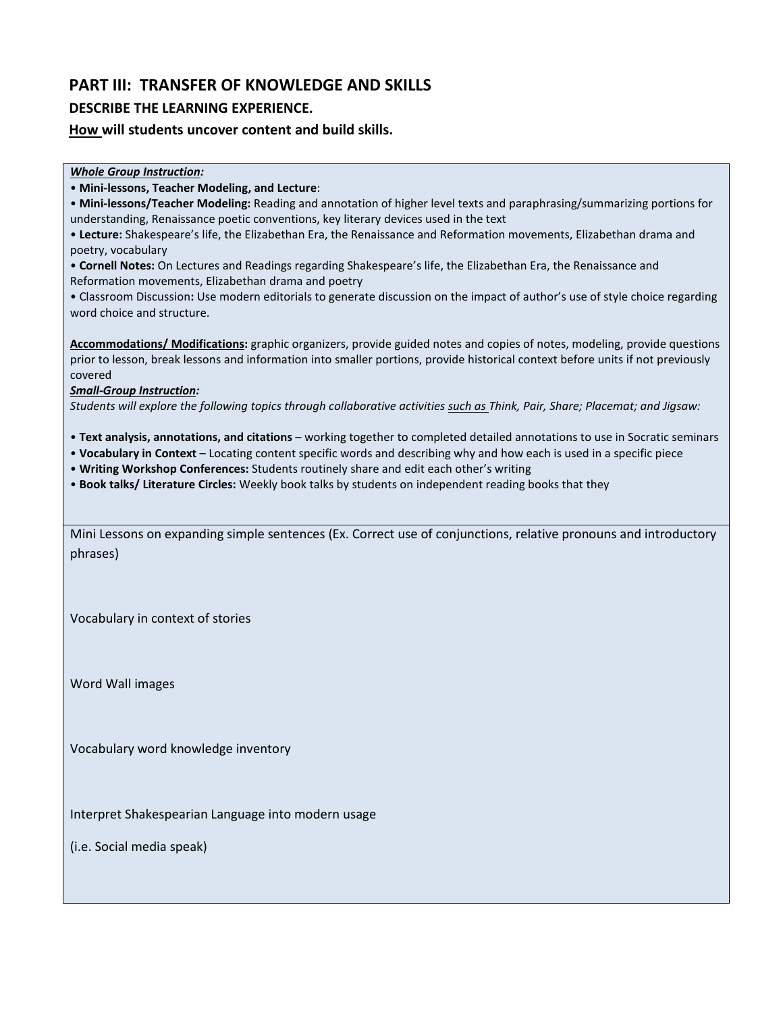# **PART III: TRANSFER OF KNOWLEDGE AND SKILLS**

### **DESCRIBE THE LEARNING EXPERIENCE.**

**How will students uncover content and build skills.** 

|  | <b>Whole Group Instruction:</b> |
|--|---------------------------------|
|  |                                 |

• **Mini-lessons, Teacher Modeling, and Lecture**:

• **Mini-lessons/Teacher Modeling:** Reading and annotation of higher level texts and paraphrasing/summarizing portions for understanding, Renaissance poetic conventions, key literary devices used in the text

• **Lecture:** Shakespeare's life, the Elizabethan Era, the Renaissance and Reformation movements, Elizabethan drama and poetry, vocabulary

• **Cornell Notes:** On Lectures and Readings regarding Shakespeare's life, the Elizabethan Era, the Renaissance and Reformation movements, Elizabethan drama and poetry

• Classroom Discussion**:** Use modern editorials to generate discussion on the impact of author's use of style choice regarding word choice and structure.

**Accommodations/ Modifications:** graphic organizers, provide guided notes and copies of notes, modeling, provide questions prior to lesson, break lessons and information into smaller portions, provide historical context before units if not previously covered

*Small-Group Instruction:* 

*Students will explore the following topics through collaborative activities such as Think, Pair, Share; Placemat; and Jigsaw:* 

- **Text analysis, annotations, and citations**  working together to completed detailed annotations to use in Socratic seminars
- **Vocabulary in Context**  Locating content specific words and describing why and how each is used in a specific piece
- **Writing Workshop Conferences:** Students routinely share and edit each other's writing
- **Book talks/ Literature Circles:** Weekly book talks by students on independent reading books that they

Mini Lessons on expanding simple sentences (Ex. Correct use of conjunctions, relative pronouns and introductory phrases)

Vocabulary in context of stories

Word Wall images

Vocabulary word knowledge inventory

Interpret Shakespearian Language into modern usage

(i.e. Social media speak)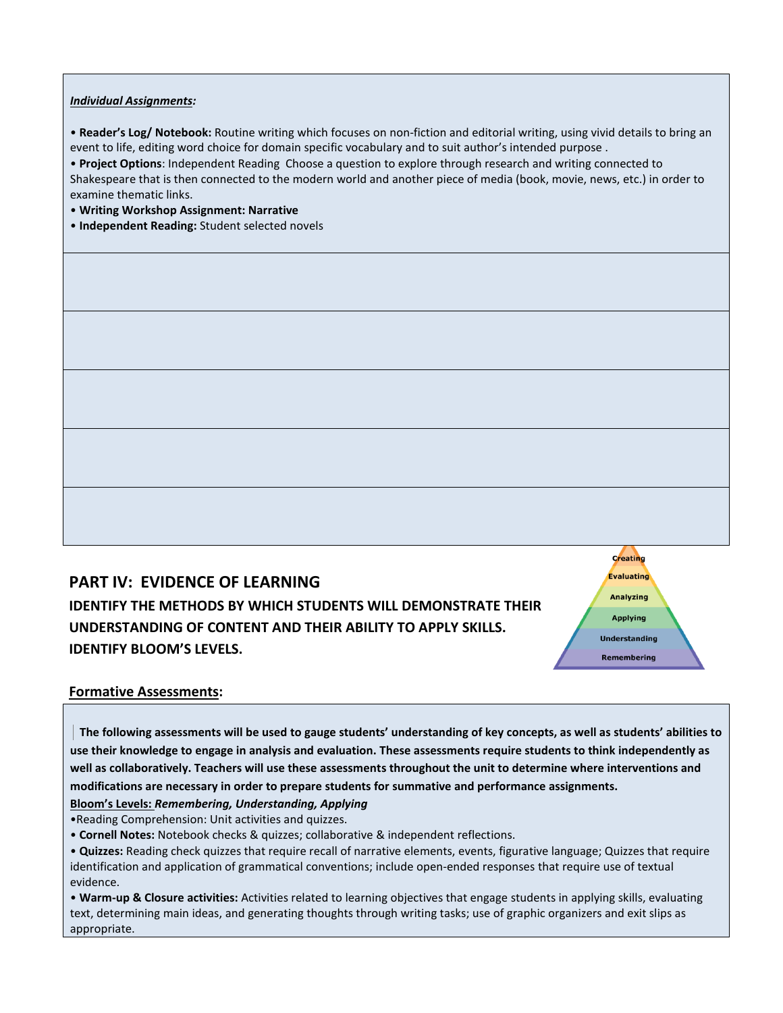### *Individual Assignments:*

• **Reader's Log/ Notebook:** Routine writing which focuses on non-fiction and editorial writing, using vivid details to bring an event to life, editing word choice for domain specific vocabulary and to suit author's intended purpose .

• **Project Options**: Independent Reading Choose a question to explore through research and writing connected to Shakespeare that is then connected to the modern world and another piece of media (book, movie, news, etc.) in order to examine thematic links.

• **Writing Workshop Assignment: Narrative** 

• **Independent Reading:** Student selected novels

### **PART IV: EVIDENCE OF LEARNING**

**IDENTIFY THE METHODS BY WHICH STUDENTS WILL DEMONSTRATE THEIR UNDERSTANDING OF CONTENT AND THEIR ABILITY TO APPLY SKILLS. IDENTIFY BLOOM'S LEVELS.** 



### **Formative Assessments:**

 **The following assessments will be used to gauge students' understanding of key concepts, as well as students' abilities to use their knowledge to engage in analysis and evaluation. These assessments require students to think independently as well as collaboratively. Teachers will use these assessments throughout the unit to determine where interventions and modifications are necessary in order to prepare students for summative and performance assignments.** 

**Bloom's Levels:** *Remembering, Understanding, Applying* 

•Reading Comprehension: Unit activities and quizzes.

• **Cornell Notes:** Notebook checks & quizzes; collaborative & independent reflections.

• **Warm-up & Closure activities:** Activities related to learning objectives that engage students in applying skills, evaluating text, determining main ideas, and generating thoughts through writing tasks; use of graphic organizers and exit slips as appropriate.

<sup>•</sup> **Quizzes:** Reading check quizzes that require recall of narrative elements, events, figurative language; Quizzes that require identification and application of grammatical conventions; include open-ended responses that require use of textual evidence.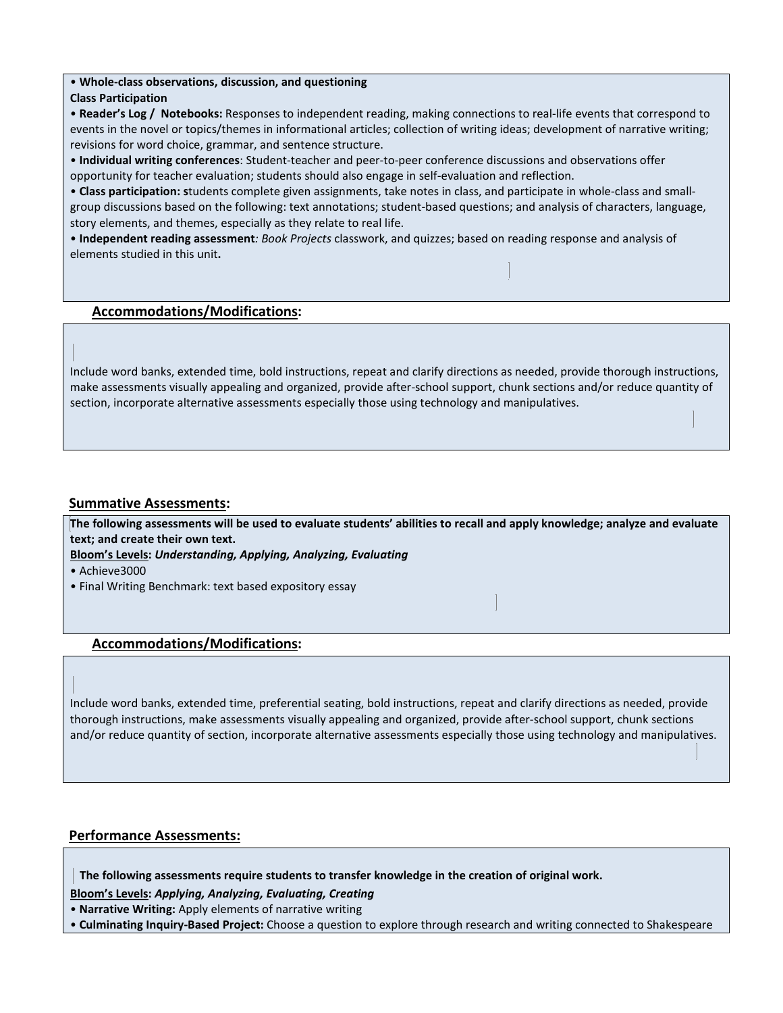### • **Whole-class observations, discussion, and questioning**

### **Class Participation**

• **Reader's Log / Notebooks:** Responses to independent reading, making connections to real-life events that correspond to events in the novel or topics/themes in informational articles; collection of writing ideas; development of narrative writing; revisions for word choice, grammar, and sentence structure.

• **Individual writing conferences**: Student-teacher and peer-to-peer conference discussions and observations offer opportunity for teacher evaluation; students should also engage in self-evaluation and reflection.

• **Class participation: s**tudents complete given assignments, take notes in class, and participate in whole-class and smallgroup discussions based on the following: text annotations; student-based questions; and analysis of characters, language, story elements, and themes, especially as they relate to real life.

• **Independent reading assessment***: Book Projects* classwork, and quizzes; based on reading response and analysis of elements studied in this unit**.** 

### **Accommodations/Modifications:**

Include word banks, extended time, bold instructions, repeat and clarify directions as needed, provide thorough instructions, make assessments visually appealing and organized, provide after-school support, chunk sections and/or reduce quantity of section, incorporate alternative assessments especially those using technology and manipulatives.

### **Summative Assessments:**

**The following assessments will be used to evaluate students' abilities to recall and apply knowledge; analyze and evaluate text; and create their own text.** 

**Bloom's Levels:** *Understanding, Applying, Analyzing, Evaluating* 

• Achieve3000

• Final Writing Benchmark: text based expository essay

### **Accommodations/Modifications:**

Include word banks, extended time, preferential seating, bold instructions, repeat and clarify directions as needed, provide thorough instructions, make assessments visually appealing and organized, provide after-school support, chunk sections and/or reduce quantity of section, incorporate alternative assessments especially those using technology and manipulatives.

### **Performance Assessments:**

 **The following assessments require students to transfer knowledge in the creation of original work.** 

**Bloom's Levels:** *Applying, Analyzing, Evaluating, Creating* 

• **Narrative Writing:** Apply elements of narrative writing

• **Culminating Inquiry-Based Project:** Choose a question to explore through research and writing connected to Shakespeare